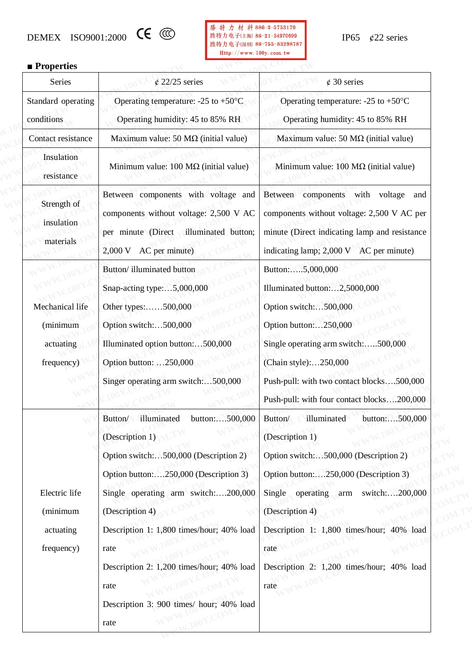



### ■**Properties**

| <b>Properties</b>                                      |                                                                                                                                                                                                                                                                                                                                                                       |                                                                                                                                                                                                                                                                                                                      |
|--------------------------------------------------------|-----------------------------------------------------------------------------------------------------------------------------------------------------------------------------------------------------------------------------------------------------------------------------------------------------------------------------------------------------------------------|----------------------------------------------------------------------------------------------------------------------------------------------------------------------------------------------------------------------------------------------------------------------------------------------------------------------|
| Series                                                 | $\&$ 22/25 series                                                                                                                                                                                                                                                                                                                                                     | $\phi$ 30 series                                                                                                                                                                                                                                                                                                     |
| Standard operating                                     | Operating temperature: $-25$ to $+50^{\circ}$ C                                                                                                                                                                                                                                                                                                                       | Operating temperature: $-25$ to $+50^{\circ}$ C                                                                                                                                                                                                                                                                      |
| conditions                                             | Operating humidity: 45 to 85% RH                                                                                                                                                                                                                                                                                                                                      | Operating humidity: 45 to 85% RH                                                                                                                                                                                                                                                                                     |
| Contact resistance                                     | Maximum value: 50 $M\Omega$ (initial value)                                                                                                                                                                                                                                                                                                                           | Maximum value: 50 $M\Omega$ (initial value)                                                                                                                                                                                                                                                                          |
| Insulation<br>resistance                               | Minimum value: $100 \text{ M}\Omega$ (initial value)                                                                                                                                                                                                                                                                                                                  | Minimum value: $100 \text{ M}\Omega$ (initial value)                                                                                                                                                                                                                                                                 |
| Strength of<br>insulation<br>materials                 | Between components with voltage and<br>components without voltage: 2,500 V AC<br>per minute (Direct illuminated button;<br>AC per minute)<br>2,000 V                                                                                                                                                                                                                  | Between components with voltage<br>and<br>components without voltage: 2,500 V AC per<br>minute (Direct indicating lamp and resistance<br>indicating lamp; 2,000 V AC per minute)                                                                                                                                     |
| Mechanical life<br>(minimum<br>actuating<br>frequency) | Button/illuminated button<br>Snap-acting type:5,000,000<br>Other types:500,000<br>Option switch:500,000<br>Illuminated option button:500,000<br>Option button: 250,000<br>Singer operating arm switch:500,000                                                                                                                                                         | Button:5,000,000<br>Illuminated button:2,5000,000<br>Option switch:500,000<br>Option button:250,000<br>Single operating arm switch:500,000<br>(Chain style):250,000<br>Push-pull: with two contact blocks500,000<br>Push-pull: with four contact blocks200,000                                                       |
| Electric life<br>(minimum<br>actuating<br>frequency)   | illuminated<br>button:500,000<br>Button/<br>(Description 1)<br>Option switch:500,000 (Description 2)<br>Option button:250,000 (Description 3)<br>Single operating arm switch:200,000<br>(Description 4)<br>Description 1: 1,800 times/hour; 40% load<br>rate<br>Description 2: 1,200 times/hour; 40% load<br>rate<br>Description 3: 900 times/ hour; 40% load<br>rate | illuminated<br>Button/<br>button:500,000<br>(Description 1)<br>Option switch:500,000 (Description 2)<br>Option button:250,000 (Description 3)<br>Single operating arm<br>switch:200,000<br>(Description 4)<br>Description 1: 1,800 times/hour; 40% load<br>rate<br>Description 2: 1,200 times/hour; 40% load<br>rate |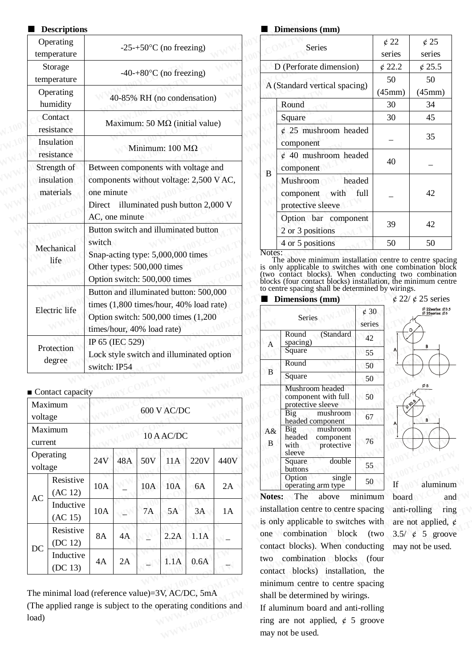#### ■ **Descriptions**

| <b>Descriptions</b>                        |                                                                                                           |              | Dimensions (mm)                                                                                                                                                                                  |                               |                           |
|--------------------------------------------|-----------------------------------------------------------------------------------------------------------|--------------|--------------------------------------------------------------------------------------------------------------------------------------------------------------------------------------------------|-------------------------------|---------------------------|
| Operating<br>temperature                   | $-25+50$ °C (no freezing)                                                                                 |              | <b>Series</b>                                                                                                                                                                                    |                               | $\oint$ 22<br>serie       |
| Storage                                    | $-40+80$ °C (no freezing)                                                                                 |              | D (Perforate dimension)                                                                                                                                                                          |                               | $\notin$ 22.              |
| temperature<br>Operating                   |                                                                                                           |              | A (Standard vertical spacing)                                                                                                                                                                    |                               | 50<br>(45 <sub>mr</sub> ) |
| humidity                                   | 40-85% RH (no condensation)                                                                               |              | Round                                                                                                                                                                                            |                               | 30                        |
| Contact<br>resistance                      | Maximum: 50 $M\Omega$ (initial value)                                                                     |              | Square<br>$\phi$ 25 mushroom headed                                                                                                                                                              |                               | 30                        |
| Insulation<br>resistance                   | Minimum: $100 \text{ M}\Omega$                                                                            |              | component<br>$\phi$ 40 mushroom headed                                                                                                                                                           |                               |                           |
| Strength of                                | Between components with voltage and                                                                       | B            | component                                                                                                                                                                                        |                               | 40                        |
| insulation<br>materials                    | components without voltage: 2,500 V AC,<br>one minute<br>Direct illuminated push button 2,000 V           |              | Mushroom<br>with<br>component<br>protective sleeve                                                                                                                                               | headed<br>full                |                           |
|                                            | AC, one minute<br>Button switch and illuminated button                                                    |              | Option bar component<br>2 or 3 positions                                                                                                                                                         |                               | 39                        |
| Mechanical<br>life                         | switch<br>Snap-acting type: 5,000,000 times<br>Other types: 500,000 times<br>Option switch: 500,000 times | Notes:       | 4 or 5 positions<br>The above minimum installation centre<br>is only applicable to switches with one o<br>(two contact blocks). When conducting<br>blocks (four contact blocks) installation, th |                               | 50                        |
| Electric life                              | Button and illuminated button: 500,000<br>times (1,800 times/hour, 40% load rate)                         |              | to centre spacing shall be determined by wi<br><b>Dimensions</b> (mm)                                                                                                                            |                               |                           |
|                                            | Option switch: 500,000 times (1,200)<br>times/hour, 40% load rate)                                        |              | Series                                                                                                                                                                                           | $\dot{\epsilon}$ 30<br>series |                           |
| Protection                                 | IP 65 (IEC 529)                                                                                           | A            | Round<br>(Standard<br>spacing)<br>Square                                                                                                                                                         | 42<br>55                      |                           |
| degree                                     | Lock style switch and illuminated option<br>switch: IP54                                                  |              | Round                                                                                                                                                                                            | 50                            |                           |
|                                            |                                                                                                           | $\, {\bf B}$ | Square                                                                                                                                                                                           | 50                            |                           |
| $\blacksquare$ Contact capacity<br>Maximum |                                                                                                           |              | Mushroom headed<br>component with full<br>protective sleeve                                                                                                                                      | 50                            |                           |
|                                            | $600$ V $\Lambda$ C/DC                                                                                    |              |                                                                                                                                                                                                  |                               |                           |

#### ■ Contact capacity

|         | $\blacksquare$ Contact capacity |           |     |     |             |      |      |            | Mushroom headed<br>component with full                                                                                     | 50            | Ø5                   |
|---------|---------------------------------|-----------|-----|-----|-------------|------|------|------------|----------------------------------------------------------------------------------------------------------------------------|---------------|----------------------|
|         | Maximum                         |           |     |     |             |      |      |            | protective sleeve                                                                                                          |               |                      |
| voltage |                                 |           |     |     | 600 V AC/DC |      |      |            | Big<br>mushroom<br>headed component                                                                                        | 67            | В                    |
| current | Maximum                         |           |     |     | 10 A AC/DC  |      |      | $A\&$<br>B | Big<br>mushroom<br>headed<br>component<br>with<br>protective                                                               | 76            |                      |
| voltage | Operating                       | 24V       | 48A | 50V | 11A         | 220V | 440V |            | sleeve<br>double<br>Square<br>buttons                                                                                      | 55            |                      |
|         | Resistive<br>(AC 12)            | 10A       |     | 10A | 10A         | 6A   | 2A   | Notes:     | single<br>Option<br>operating arm type<br>The                                                                              | 50<br>minimum | If<br>aluminum       |
| AC      | Inductive<br>(AC 15)            | 10A       |     | 7A  | 5A          | 3A   | 1A   |            | above<br>installation centre to centre spacing anti-rolling<br>is only applicable to switches with are not applied, $\phi$ |               | board<br>and<br>ring |
| DC      | Resistive<br>(DC 12)            | <b>8A</b> | 4A  |     | 2.2A        | 1.1A |      | one        | combination block (two<br>contact blocks). When conducting may not be used.                                                |               | 3.5/ $\phi$ 5 groove |
|         | Inductive<br>(DC 13)            | 4A        | 2A  |     | 1.1A        | 0.6A |      | two        | combination blocks<br>contact blocks) installation, the                                                                    | ⊦ (four       |                      |

The minimal load (reference value)=3V, AC/DC, 5mA (The applied range is subject to the operating conditions and load)

#### ■ **Dimensions (mm)**

|   | $\boldsymbol{\nu}$ minembromb (mini)                                     |              |                  |
|---|--------------------------------------------------------------------------|--------------|------------------|
|   | <b>Series</b>                                                            | $\oint$ 22   | $\mathcal{L}$ 25 |
|   |                                                                          | series       | series           |
|   | D (Perforate dimension)                                                  | $\oint$ 22.2 | $\notin$ 25.5    |
|   |                                                                          | 50           | 50               |
|   | A (Standard vertical spacing)                                            | (45mm)       | (45mm)           |
|   | Round                                                                    | 30           | 34               |
|   | Square                                                                   | 30           | 45               |
|   | $\phi$ 25 mushroom headed<br>component                                   |              | 35               |
|   | $\&$ 40 mushroom headed<br>component                                     | 40           |                  |
| B | <b>Mushroom</b><br>headed<br>component with<br>full<br>protective sleeve |              | 42               |
|   | Option bar component<br>2 or 3 positions                                 | 39           | 42               |
|   | 4 or 5 positions                                                         | 50           | 50               |
|   |                                                                          |              |                  |

The above minimum installation centre to centre spacing is only applicable to switches with one combination block (two contact blocks). When conducting two combination blocks (four contact blocks) installation, the minimum centre to centre spacing shall be determined by wirings.

#### ■ **Dimensions (mm)**

|      | times/hour, 40% load rate) |     |     |             | times (1.800 times/hour, 40% load rate)<br>Option switch: 500,000 times (1,200) |      |            | <b>Series</b>                                                          | $\mathcal{C}$ 30<br>series | D                   |
|------|----------------------------|-----|-----|-------------|---------------------------------------------------------------------------------|------|------------|------------------------------------------------------------------------|----------------------------|---------------------|
|      | IP 65 (IEC 529)            |     |     |             |                                                                                 |      | A          | (Standard<br>Round<br>spacing)                                         | 42                         |                     |
|      |                            |     |     |             | Lock style switch and illuminated option                                        |      |            | Square                                                                 | 55                         |                     |
|      | switch: IP54               |     |     |             |                                                                                 |      |            | Round                                                                  | 50                         |                     |
|      |                            |     |     |             |                                                                                 |      | B          | Square                                                                 | 50                         |                     |
| zity |                            |     |     |             |                                                                                 |      |            | Mushroom headed<br>component with full<br>protective sleeve            | 50                         | $\phi_{30}^{\circ}$ |
|      |                            |     |     | 600 V AC/DC |                                                                                 |      |            | Big<br>mushroom<br>headed component                                    | 67                         |                     |
|      |                            |     |     | 10 A AC/DC  |                                                                                 |      | $A\&$<br>B | Big<br>mushroom<br>headed<br>component<br>with<br>protective<br>sleeve | 76                         |                     |
|      | 24V                        | 48A | 50V | 11A         | 220V                                                                            | 440V |            | double<br>Square<br>buttons                                            | 55                         |                     |
|      | 10A                        |     | 10A | 10A         | 6A                                                                              | 2A   |            | single<br>Option<br>operating arm type                                 | 50                         | If                  |

 $\oint$  22/  $\oint$  25 series

 $\emptyset$  22series:  $\emptyset$ 3.5<br> $\emptyset$  25series:  $\emptyset$ 5

**Notes:** The above minimum installation centre to centre spacing is only applicable to switches with one combination block (two contact blocks). When conducting two combination blocks (four contact blocks) installation, the minimum centre to centre spacing shall be determined by wirings. **WWW.100Y.COM.TW WWW.100Y.COM.TW WWW.100Y.COM.TW** 0A 10A 6A 2A operating arm type 50 If aluminum<br>
7A 5A 3A 1A installation centre to centre spacing anti-rolling ring<br>
is only applicable to switches with are not applied,  $\phi$ <br>
2.2A 1.1A - one combination block (two 3.5/ **Notes:** The above minimum board and installation centre to centre spacing anti-rolling ring is only applicable to switches with are not applied,  $\phi$  one combination block (two 3.5/  $\phi$  5 groove contact blocks). When con **Example 18** 3A 1A installation centre to centre spacing anti-rolling ring<br>is only applicable to switches with are not applied,  $\phi$ <br>one combination block (two 3.5/  $\phi$  5 groove<br>contact blocks). When conducting may not b **EXECUTE:** IT: A LOCAL TRANSFERING SURVEY AND THE USE OF COMMON CONDUCTS AND COMMON CONDUCTS THAND ON COMMON CONTRANSTAND THE MANGEROV CONDINITY CONTRANSTRAND STATE SHALL DUCKS AND STATE SHALL DUCKS SURVEY AND STATE SHALL

If aluminum board and anti-rolling ring are not applied,  $\phi$  5 groove may not be used.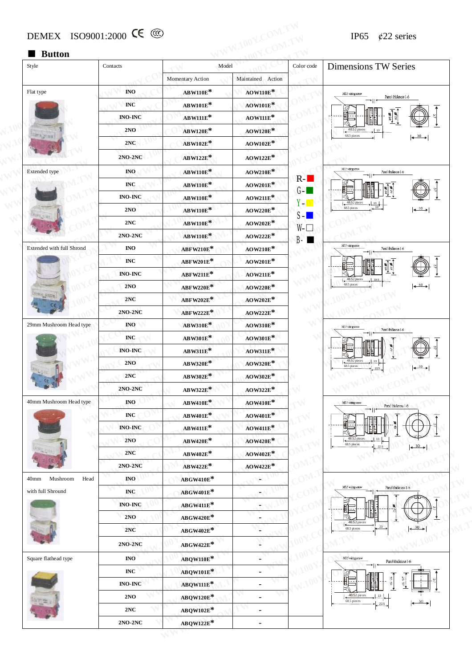## ■ **Button**

| Button<br>Style                      | Contacts                         | Model                                  |                      | Color code          | <b>Dimensions TW Series</b>                                                                |
|--------------------------------------|----------------------------------|----------------------------------------|----------------------|---------------------|--------------------------------------------------------------------------------------------|
|                                      |                                  | Momentary Action                       | Maintained Action    |                     |                                                                                            |
| Flat type                            | $\overline{\mathbf{NO}}$         | $\text{ABW110E}^*$                     | $AOW110E*$           |                     | M3.5 varing surver                                                                         |
|                                      | $\mathbb{I}\mathbb{N}\mathbb{C}$ | <b>ABW101E*</b>                        | <b>AOW101E*</b>      |                     | Panel thickness 1-6                                                                        |
|                                      | <b>INO-INC</b>                   | <b>ABW111E*</b>                        | $AOW111E*$           |                     | $\mathscr{C}$                                                                              |
|                                      | 2NO                              | AB W120E*                              | <b>AOW120E*</b>      |                     | 48.52 piece                                                                                |
| 地无产生时                                | 2NC                              | $\mathrm{AB}\,\mathrm{W102E}^*$        | $\mathrm{AOW102E}^*$ |                     | 68.5 pieces<br>$\longleftrightarrow$                                                       |
|                                      | 2NO-2NC                          | ABW122E*                               | $\mathrm{AOW122E}^*$ |                     |                                                                                            |
| Extended type                        | <b>INO</b>                       | <b>ABW110E*</b>                        | $\mathrm{AOW210E}^*$ |                     | M3.5 vátegyenv<br>Panel thickness 1-6                                                      |
|                                      | $\bf{INC}$                       | $\mathrm{AB}\,\mathrm{W110E}^\text{*}$ | $AOW201E*$           | $R-I$               |                                                                                            |
|                                      | <b>INO-INC</b>                   | $\text{ABW110E}^*$                     | $AOW211E*$           | $G -$               |                                                                                            |
|                                      | 2NO                              | <b>ABW110E*</b>                        | AOW220E*             | Yen                 | 48.52<br>68.5 piece<br>$\left  \leftarrow \right $                                         |
|                                      | 2NC                              | <b>ABW110E*</b>                        | $\mathrm{AOW202E}^*$ | $S-I$               |                                                                                            |
|                                      | $2NO-2NC$                        | <b>ABW110E*</b>                        | $AOW222E*$           | $W \Box$<br>$B - B$ |                                                                                            |
| Extended with full Shrond            | $\bf{I}NO$                       | ABFW210E*                              | $\text{AOW210E*}$    |                     | M35 várigsmu<br>Panel thickness 1-6                                                        |
|                                      | $\bf{INC}$                       | ABFW201E*                              | <b>AOW201E*</b>      |                     |                                                                                            |
|                                      | <b>INO-INC</b>                   | ABFW211E*                              | $AOW211E*$           |                     |                                                                                            |
|                                      | 2NO                              | <b>ABFW220E*</b>                       | $\text{AOW220E*}$    |                     | 48.52 piece:<br>68.5 pieces<br>$\left  \leftarrow \right. \xrightarrow{30} \left  \right.$ |
|                                      | 2NC                              | <b>ABFW202E*</b>                       | $AOW202E*$           |                     |                                                                                            |
|                                      | 2NO-2NC                          | ABFW222E*                              | $AOW222E*$           |                     |                                                                                            |
| 29mm Mushroom Head type              | <b>INO</b>                       | ABW310E*                               | <b>AOW310E*</b>      | Ń                   | MES váringsmo<br>Panel thickness 1-6                                                       |
|                                      | $\mathbf{INC}$                   | AB W301E*                              | <b>AOW301E*</b>      |                     |                                                                                            |
|                                      | <b>INO-INC</b>                   | ABW311E*                               | $AOW311E*$           |                     |                                                                                            |
|                                      | 2NO                              | AB W320E*                              | AOW320E*             |                     | 48.52 pieces<br>68.5 pieces<br>$\longleftrightarrow$                                       |
|                                      | $2NC$                            | AB W302E*                              | AOW302E*             |                     |                                                                                            |
|                                      | $2NO-2NC$                        | ABW322E*                               | AOW322E*             |                     |                                                                                            |
| 40mm Mushroom Head type              | $\mathbf{I}\mathbf{N}\mathbf{O}$ | $ABW410E*$                             | $\mathrm{AOW410E}^*$ |                     | M3.5 witing servw<br>Panel thickness 1-6                                                   |
|                                      | $\mathbb{I}\mathrm{N}\mathbb{C}$ | $ABW401E*$                             | $AOW401E*$           |                     |                                                                                            |
|                                      | $INO-INC$                        | $\text{ABW411E}^*$                     | $AOW411E*$           |                     |                                                                                            |
|                                      | $2NO$                            | AB W420E*                              | $AOW420E*$           |                     | 48.52 piece<br>68.5 pieces                                                                 |
|                                      | 2NC                              | AB W402E*                              | $\text{AOW402E*}$    |                     |                                                                                            |
|                                      | 2NO-2NC                          | ABW422E*                               | $\text{AOW422E*}$    |                     |                                                                                            |
| Mushroom<br>Head<br>40 <sub>mm</sub> | $\bf NO$                         | ABGW410E*                              | ٠                    |                     | M3.5 wiring serow<br>Panel thickness 1-6                                                   |
| with full Shround                    | $\bf{INC}$                       | ABGW401E*                              |                      |                     |                                                                                            |
|                                      | $INO-INC$                        | ${\bf ABCW411E}^*$                     | ٠                    |                     |                                                                                            |
|                                      | 2NO<br>2NC                       | ABGW420E*                              |                      |                     | 48.52 pieces<br>23<br>30<br>68.5 pieces                                                    |
|                                      |                                  | $ABGW402E*$                            |                      |                     |                                                                                            |
|                                      | <b>2NO-2NC</b>                   | $ABGW422E*$                            |                      |                     |                                                                                            |
| Square flathead type                 | $\overline{\mathbf{NO}}$         | ABQW110E*                              |                      |                     | M35 wirigansw<br>Panel thickness 1-6                                                       |
|                                      | $\mathbf{INC}$                   | ABQW101E*                              | $\blacksquare$       |                     |                                                                                            |
|                                      | $INO-INC$                        | ABQW111E*                              | ä,                   |                     |                                                                                            |
|                                      | 2NO                              | <b>ABQW120E*</b>                       | ۰                    |                     | 48.52 pieces<br>68.5 pieces<br>22.5                                                        |
|                                      | 2NC                              | $ABQW102E*$                            | $\blacksquare$       |                     |                                                                                            |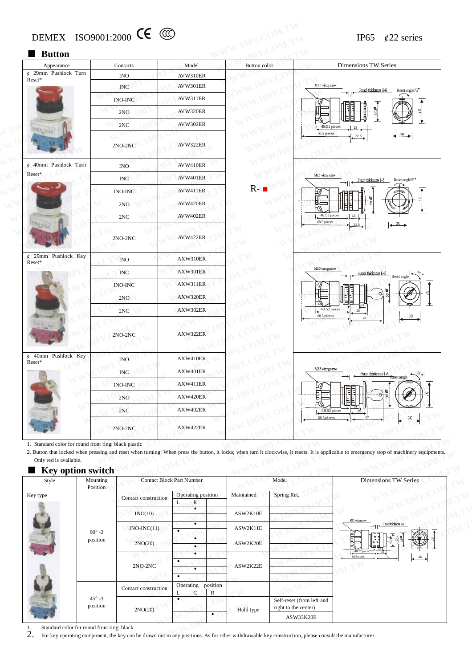| <b>Button</b><br>Appearance<br>$\ell$ 29mm Pushlock Turn<br>Reset*              | Contacts<br><b>INO</b>   | Model                            |                           |                   |                                                                                                                                                                                           |
|---------------------------------------------------------------------------------|--------------------------|----------------------------------|---------------------------|-------------------|-------------------------------------------------------------------------------------------------------------------------------------------------------------------------------------------|
|                                                                                 |                          |                                  | Button color              |                   | <b>Dimensions TW Series</b>                                                                                                                                                               |
|                                                                                 |                          | AVW310ER                         |                           |                   |                                                                                                                                                                                           |
|                                                                                 | <b>INC</b>               | AVW301ER                         |                           | M3.5 witing servw | Panel thickness 1-6<br>Reset angle75°                                                                                                                                                     |
|                                                                                 | <b>INO-INC</b>           | AVW311ER                         |                           |                   |                                                                                                                                                                                           |
|                                                                                 | 2NO                      | AVW320ER                         |                           |                   | ø<br>의                                                                                                                                                                                    |
|                                                                                 | 2NC                      | AVW302ER                         |                           |                   | 48.52 pieces                                                                                                                                                                              |
|                                                                                 | 2NO-2NC                  | AVW322ER                         |                           | 68.5 pieces       | $\longleftrightarrow$<br>22.5                                                                                                                                                             |
| $\phi$ 40mm Pushlock Turn                                                       | <b>INO</b>               | AVW410ER                         |                           |                   |                                                                                                                                                                                           |
| Reset*                                                                          | <b>INC</b>               | AVW401ER                         |                           | M3.5 witing serow | Panel thickness 1-6<br>Reset angle <sup>75</sup>                                                                                                                                          |
|                                                                                 | <b>INO-INC</b>           | AVW411ER                         | $R-$                      |                   |                                                                                                                                                                                           |
|                                                                                 | 2NO                      | AVW420ER                         |                           |                   |                                                                                                                                                                                           |
|                                                                                 | 2NC                      | AVW402ER                         |                           | 48.52 pieces      |                                                                                                                                                                                           |
|                                                                                 | $2NO-2NC$                | AVW422ER                         |                           | 68.5 pieces       | $\longleftrightarrow$                                                                                                                                                                     |
| $\phi$ 29mm Pushlock Key<br>Reset*                                              | <b>INO</b>               | AXW310ER                         |                           |                   |                                                                                                                                                                                           |
|                                                                                 | <b>INC</b>               | AXW301ER                         |                           | M3.5 wiring serow | Panel thickness 1-6                                                                                                                                                                       |
|                                                                                 | <b>INO-INC</b>           | AXW311ER                         |                           |                   | Reset angle                                                                                                                                                                               |
|                                                                                 | 2NO                      | AXW320ER                         |                           |                   |                                                                                                                                                                                           |
|                                                                                 | 2NC                      | AXW302ER                         |                           | 68.5 pieces       | 48.52 pieces<br>25                                                                                                                                                                        |
|                                                                                 | 2NO-2NC                  | AXW322ER                         |                           |                   |                                                                                                                                                                                           |
| $\phi$ 40mm Pushlock Key<br>Reset*                                              | <b>INO</b>               | AXW410ER                         |                           |                   |                                                                                                                                                                                           |
|                                                                                 | <b>INC</b>               | AXW401ER                         |                           | M3.5 witing screw |                                                                                                                                                                                           |
|                                                                                 | <b>INO-INC</b>           | AXW411ER                         |                           |                   | Reset angle                                                                                                                                                                               |
|                                                                                 | 2NO                      | AXW420ER                         |                           |                   |                                                                                                                                                                                           |
|                                                                                 | 2NC                      | ${\rm AXW402ER}$                 |                           |                   | 48.52 pieces                                                                                                                                                                              |
|                                                                                 | $2\rm NO\text{-}2\rm NC$ | AXW422ER                         |                           | 68.5 pieces       | 3C                                                                                                                                                                                        |
| 1. Standard color for round front ring: black plastic<br>Only red is available. |                          |                                  |                           |                   | 2. Button that locked when pressing and reset when turning: When press the button, it locks; when turn it clockwise, it resets. It is applicable to emergency stop of machinery equipment |
| Key option switch<br>Style                                                      | Mounting                 | <b>Contact Block Part Number</b> | Model                     |                   | <b>Dimensions TW Series</b>                                                                                                                                                               |
| Key type                                                                        | Position                 | Operating position               | Maintained<br>Spring Ret. |                   |                                                                                                                                                                                           |

#### ■ **Key option** switch

|                        |                                                                                   | ZNU                              |           | $A\Lambda W + 20E N$    |               |            |                                                   | 嵋盯                                                                                                                                                                                          |
|------------------------|-----------------------------------------------------------------------------------|----------------------------------|-----------|-------------------------|---------------|------------|---------------------------------------------------|---------------------------------------------------------------------------------------------------------------------------------------------------------------------------------------------|
|                        |                                                                                   | 2NC                              |           | AXW402ER                |               |            | 48.52 pieces                                      | 25                                                                                                                                                                                          |
|                        |                                                                                   | $2NO-2NC$                        |           | AXW422ER                |               |            | 68.5 pieces                                       |                                                                                                                                                                                             |
| Only red is available. | 1. Standard color for round front ring: black plastic<br><b>Key option switch</b> |                                  |           |                         |               |            |                                                   | 2. Button that locked when pressing and reset when turning: When press the button, it locks; when turn it clockwise, it resets. It is applicable to emergency stop of machinery equipments. |
| Style                  | Mounting<br>Position                                                              | <b>Contact Block Part Number</b> |           |                         |               |            | Model                                             | <b>Dimensions TW Series</b>                                                                                                                                                                 |
| Key type               |                                                                                   | Contact construction             |           | Operating position<br>R |               | Maintained | Spring Ret.                                       |                                                                                                                                                                                             |
|                        |                                                                                   | INO(10)                          |           | $\bullet$               |               | ASW2K10E   |                                                   | MB5 witing staw                                                                                                                                                                             |
|                        | $90^\circ -2$                                                                     | $INO-INC(11)$                    | $\bullet$ | $\bullet$               |               | ASW2K11E   |                                                   | Panel thickness 1-6                                                                                                                                                                         |
|                        | position                                                                          | 2NO(20)                          |           | $\bullet$<br>$\bullet$  |               | ASW2K20E   |                                                   | 48.52 pieces                                                                                                                                                                                |
|                        |                                                                                   | $2NO-2NC$                        | $\bullet$ | $\bullet$               |               | ASW2K22E   |                                                   | 68.5 piec                                                                                                                                                                                   |
|                        |                                                                                   |                                  | $\bullet$ | $\bullet$               |               |            |                                                   |                                                                                                                                                                                             |
|                        |                                                                                   | Contact construction             |           | Operating<br>C          | position<br>R |            |                                                   |                                                                                                                                                                                             |
|                        | $45^\circ - 3$<br>position                                                        | 2NO(20)                          | ٠         |                         |               | Hold type  | Self-reset (from left and<br>right to the center) |                                                                                                                                                                                             |
|                        |                                                                                   |                                  |           |                         | $\bullet$     |            | ASW33K20E                                         |                                                                                                                                                                                             |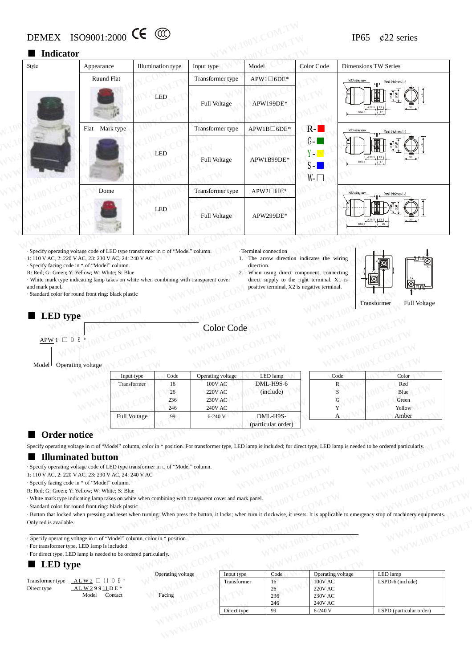# DEMEX ISO9001:2000 CC  $\textcircled{C}$  IP65 ¢22 series

#### ■ **Indicator**

| Style           | Appearance                                                                                                                                                                                                                                                                                                                                                                                    | Illumination type           | Input type       | Model                                                                                                                                                                                                                      | Color Code                  | Dimensions TW Series                     |
|-----------------|-----------------------------------------------------------------------------------------------------------------------------------------------------------------------------------------------------------------------------------------------------------------------------------------------------------------------------------------------------------------------------------------------|-----------------------------|------------------|----------------------------------------------------------------------------------------------------------------------------------------------------------------------------------------------------------------------------|-----------------------------|------------------------------------------|
|                 | Ruund Flat                                                                                                                                                                                                                                                                                                                                                                                    |                             | Transformer type | $APW1 \Box 6DE*$                                                                                                                                                                                                           |                             | M3.5 witing serve<br>Panel thickness 1-6 |
|                 |                                                                                                                                                                                                                                                                                                                                                                                               | LED                         | Full Voltage     | APW199DE*                                                                                                                                                                                                                  |                             |                                          |
|                 | Flat Mark type                                                                                                                                                                                                                                                                                                                                                                                |                             | Transformer type | $APW1B \Box 6DE*$                                                                                                                                                                                                          | $R -$                       | M35 váring savs<br>Panel thickness 1-6   |
|                 |                                                                                                                                                                                                                                                                                                                                                                                               | LED                         | Full Voltage     | APW1B99DE*                                                                                                                                                                                                                 | $G -$<br>Y-N<br>$S -$<br>₩□ | B66.5                                    |
|                 | Dome                                                                                                                                                                                                                                                                                                                                                                                          |                             | Transformer type | APW2□6DE*                                                                                                                                                                                                                  |                             | M35 witing saw<br>Panel drickness 1-     |
|                 |                                                                                                                                                                                                                                                                                                                                                                                               | $\ensuremath{\mathsf{LED}}$ | Full Voltage     | APW299DE*                                                                                                                                                                                                                  |                             |                                          |
| and mark panel. | · Specify operating voltage code of LED type transformer in □ of "Model" column.<br>1: 110 V AC, 2: 220 V AC, 23: 230 V AC, 24: 240 V AC<br>· Specify facing code in * of "Model" column.<br>R: Red; G: Green; Y: Yellow; W: White; S: Blue<br>· White mark type indicating lamp takes on white when combining with transparent cover<br>· Standard color for round front ring: black plastic |                             | 2.               | · Terminal connection<br>1. The arrow direction indicates the wiring<br>direction.<br>When using direct component, connecting<br>direct supply to the right terminal. X1 is<br>positive terminal, X2 is negative terminal. |                             |                                          |

· White mark type indicating lamp takes on white when combining with transparent cover and mark panel. **WWW.100Y.COM.TW WWW.100Y.COM.TW WWW.100Y.COM.TW** For color CHE PUB USE COM.TW **WANTIONY COM.TW PERIOD ACCES**<br>
22 When using direct component, connecting<br>
meindicating lamp takes on white when combining with transparent cover<br>
mein in Y. Y. Yellow; W. White; S. Blue<br>
pe

- · Terminal connection 1. The arrow direction indicates the wiring direction.
- 2. When using direct component, connecting direct supply to the right terminal. X1 is positive terminal, X2 is negative terminal.



## $APW1$  D E

Model Operating voltage

| Y: Yellow; W: White; S: Blue<br>or round front ring: black plastic<br>ype<br>DE<br>rating voltage | indicating lamp takes on white when combining with transparent cover |            | Color Code                                                                           | When using direct component, connecting<br>direct supply to the right terminal. X1 is<br>positive terminal, X2 is negative terminal. |      | Transformer<br>Full Voltage                                                                                                                                          |
|---------------------------------------------------------------------------------------------------|----------------------------------------------------------------------|------------|--------------------------------------------------------------------------------------|--------------------------------------------------------------------------------------------------------------------------------------|------|----------------------------------------------------------------------------------------------------------------------------------------------------------------------|
|                                                                                                   |                                                                      |            |                                                                                      |                                                                                                                                      |      |                                                                                                                                                                      |
|                                                                                                   | Input type                                                           | Code       | Operating voltage                                                                    | LED lamp<br>DML-H9S-6                                                                                                                | Code | Color                                                                                                                                                                |
|                                                                                                   | Transformer                                                          | 16         | <b>100V AC</b><br><b>220V AC</b>                                                     |                                                                                                                                      | R    | Red                                                                                                                                                                  |
|                                                                                                   |                                                                      | 26         | <b>230V AC</b>                                                                       | (include)                                                                                                                            |      | Blue                                                                                                                                                                 |
|                                                                                                   |                                                                      | 236<br>246 | <b>240V AC</b>                                                                       |                                                                                                                                      | Y    | Green<br>Yellow                                                                                                                                                      |
|                                                                                                   | Full Voltage                                                         | 99         | 6-240 V                                                                              | DML-H9S-                                                                                                                             |      | Amber                                                                                                                                                                |
|                                                                                                   |                                                                      |            |                                                                                      | (particular order)                                                                                                                   | А    |                                                                                                                                                                      |
| notice                                                                                            |                                                                      |            |                                                                                      |                                                                                                                                      |      | voltage in o of "Model" column, color in * position. For transformer type, LED lamp is included; for direct type, LED lamp is needed to be ordered particularly.     |
| nated button                                                                                      |                                                                      |            |                                                                                      |                                                                                                                                      |      |                                                                                                                                                                      |
|                                                                                                   | g voltage code of LED type transformer in □ of "Model" column.       |            |                                                                                      |                                                                                                                                      |      |                                                                                                                                                                      |
|                                                                                                   | 20 V AC, 23: 230 V AC, 24: 240 V AC                                  |            |                                                                                      |                                                                                                                                      |      |                                                                                                                                                                      |
| ode in * of "Model" column.                                                                       |                                                                      |            |                                                                                      |                                                                                                                                      |      |                                                                                                                                                                      |
| Y: Yellow; W: White; S: Blue                                                                      |                                                                      |            |                                                                                      |                                                                                                                                      |      |                                                                                                                                                                      |
|                                                                                                   |                                                                      |            | indicating lamp takes on white when combining with transparent cover and mark panel. |                                                                                                                                      |      |                                                                                                                                                                      |
| or round front ring: black plastic                                                                |                                                                      |            |                                                                                      |                                                                                                                                      |      |                                                                                                                                                                      |
|                                                                                                   |                                                                      |            |                                                                                      |                                                                                                                                      |      | ed when pressing and reset when turning: When press the button, it locks; when turn it clockwise, it resets. It is applicable to emergency stop of machinery equipme |

| Code | Color  |
|------|--------|
| R    | Red    |
|      | Blue   |
| G    | Green  |
|      | Yellow |
|      | Amber  |
|      |        |

#### ■ **Order notice**

Specify operating voltage in □ of "Model" column, color in \* position. For transformer type, LED lamp is included; for direct type, LED lamp is needed to be ordered particularly.

#### ■ **Illuminated button**

· Specify operating voltage code of LED type transformer in □ of "Model" column.

1: 110 V AC, 2: 220 V AC, 23: 230 V AC, 24: 240 V AC

· Button that locked when pressing and reset when turning: When press the button, it locks; when turn it clockwise, it resets. It is applicable to emergency stop of machinery equipments. Only red is available. **COM. TWO WARE COMPUTER COMPUTER COMPUTER COMPUTER COMPUTER COMPUTER COMPUTER COMPUTER COMPUTER COMPUTER COMPUTER COMPUTER COMPUTER COMPUTER COMPUTER COMPUTER COMPUTER COMPUTER COMPUTER COMPUTER COMPUTER COMPUTER COMPUTER WHENDRESS (WEBSTURN CONTROLLER)**<br>
Dolumn, color in \* position. For transformer type, LED lamp is included; for direct type, LED lamp is needed to be ordered particularly.<br>
LED Lamps is needed to be ordered particularly.<br> **EXED Langers in a second particularly.**<br> **WANTAGEMENT COMMUNIST COMPUTER CONTRACT COMPUTER CONTRACT COMPUTER CONTRACT COMPUTER CONTRACT COMPUTER CONTRACT COMPUTER CONTRACT COMPUTER CONTRACT COMPUTER CONTRACT COMPUTER CONT WARE IN THE COMPANY AND COMPANY WE COMPANY AND WANT WE COMPANY AND ACCOMPANY AND ACCOMPANY AND ACCOMPANY AND ACCOMPANY AND ACCOMPANY AND ACCOMPANY AND ACCOMPANY AND ACCOMPANY AND ACCOMPANY AND ACCOMPANY AND ACCOMPANY AND WAC**<br>
WAC<br>
WAC<br>
Men combining with transparent cover and mark panel.<br>
turning: When press the button, it locks; when turn it clockwise, it resets. It is applicable to emergency stop of machinery equipments.<br> **A**, color in

#### ■ **LED type**

| Specify facing code in * of "Model" column.                                   |                                                                                                                                                                                          |                           |      |                                     |                  |
|-------------------------------------------------------------------------------|------------------------------------------------------------------------------------------------------------------------------------------------------------------------------------------|---------------------------|------|-------------------------------------|------------------|
| R: Red; G: Green; Y: Yellow; W: White; S: Blue                                |                                                                                                                                                                                          |                           |      |                                     |                  |
|                                                                               | White mark type indicating lamp takes on white when combining with transparent cover and mark panel.                                                                                     |                           |      |                                     |                  |
| Standard color for round front ring: black plastic                            |                                                                                                                                                                                          |                           |      |                                     |                  |
|                                                                               | Button that locked when pressing and reset when turning: When press the button, it locks; when turn it clockwise, it resets. It is applicable to emergency stop of machinery equipments. |                           |      |                                     |                  |
| Only red is available.                                                        |                                                                                                                                                                                          |                           |      |                                     |                  |
|                                                                               |                                                                                                                                                                                          |                           |      |                                     |                  |
| Specify operating voltage in $\Box$ of "Model" column, color in $*$ position. |                                                                                                                                                                                          |                           |      |                                     |                  |
| For transformer type, LED lamp is included.                                   |                                                                                                                                                                                          |                           |      |                                     |                  |
| For direct type, LED lamp is needed to be ordered particularly.               |                                                                                                                                                                                          |                           |      |                                     |                  |
|                                                                               |                                                                                                                                                                                          |                           |      |                                     |                  |
|                                                                               |                                                                                                                                                                                          |                           |      |                                     |                  |
|                                                                               | Operating voltage                                                                                                                                                                        |                           | Code |                                     | LED lamp         |
| ALW2 [                                                                        |                                                                                                                                                                                          | Input type<br>Transformer | 16   | Operating voltage<br><b>100V AC</b> | LSPD-6 (include) |
| ALW29911DE*                                                                   |                                                                                                                                                                                          |                           | 26   | <b>220V AC</b>                      |                  |
| Model<br>Contact                                                              | Facing                                                                                                                                                                                   |                           | 236  | <b>230V AC</b>                      |                  |
| <b>LED</b> type<br>Transformer type<br>Direct type                            |                                                                                                                                                                                          |                           | 246  | <b>240V AC</b>                      |                  |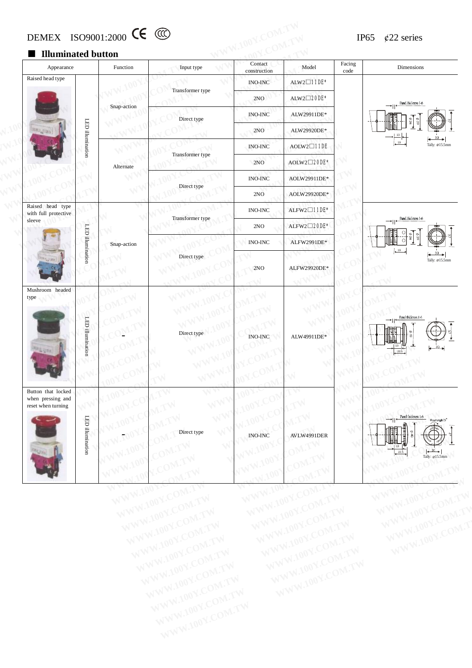## DEMEX ISO9001:2000  $\epsilon$  (CC) IP65  $\ell$ 22 series

#### ■ **Illuminated button**

|                                          | ■ Illuminated button                                          |                        |                                                        |                                                                                                                                 |                                                                     |                                              |                                                         |                                                                                                                                |
|------------------------------------------|---------------------------------------------------------------|------------------------|--------------------------------------------------------|---------------------------------------------------------------------------------------------------------------------------------|---------------------------------------------------------------------|----------------------------------------------|---------------------------------------------------------|--------------------------------------------------------------------------------------------------------------------------------|
|                                          | Appearance                                                    |                        | Function                                               | Input type                                                                                                                      | Contact<br>construction                                             | Model                                        | Facing<br>$\operatorname{code}$                         | Dimensions                                                                                                                     |
|                                          | Raised head type                                              |                        |                                                        | Transformer type                                                                                                                | <b>INO-INC</b>                                                      | ALW2 <b>□11DE</b> *                          |                                                         |                                                                                                                                |
|                                          |                                                               |                        | Snap-action                                            |                                                                                                                                 | 2NO                                                                 | ALW2 <sup>200E*</sup>                        |                                                         | Panel thickness 16<br>→∣∣∙                                                                                                     |
|                                          |                                                               |                        |                                                        | Direct type                                                                                                                     | <b>INO-INC</b>                                                      | ALW29911DE*                                  |                                                         |                                                                                                                                |
|                                          |                                                               | LED illumination       |                                                        |                                                                                                                                 | 2NO                                                                 | ALW29920DE*                                  |                                                         |                                                                                                                                |
|                                          |                                                               |                        |                                                        |                                                                                                                                 | <b>INO-INC</b>                                                      | $AOLW2 \square 11DE$                         |                                                         | Tally: Ø15.5mm                                                                                                                 |
|                                          |                                                               | Alternate              | Transformer type                                       | 2NO                                                                                                                             | AOLW2 <sup>20DE*</sup>                                              |                                              |                                                         |                                                                                                                                |
|                                          |                                                               |                        |                                                        | <b>INO-INC</b>                                                                                                                  | AOLW29911DE*                                                        |                                              |                                                         |                                                                                                                                |
|                                          |                                                               |                        | Direct type                                            | 2NO                                                                                                                             | AOLW29920DE*                                                        |                                              |                                                         |                                                                                                                                |
| Raised head type<br>with full protective |                                                               |                        |                                                        | <b>INO-INC</b>                                                                                                                  | $ALFW2 \square 11DE*$                                               |                                              |                                                         |                                                                                                                                |
| sleeve<br>Mushroom headed<br>type        |                                                               |                        | Transformer type                                       | 2NO                                                                                                                             | ALFW2□20DE*                                                         |                                              | Panel thickness 16                                      |                                                                                                                                |
|                                          | LED illumination                                              | Snap-action            |                                                        | <b>INO-INC</b>                                                                                                                  | ALFW2991DE*                                                         |                                              |                                                         |                                                                                                                                |
|                                          |                                                               |                        | Direct type                                            | 2NO                                                                                                                             | ALFW29920DE*                                                        |                                              | 19<br>Tally: Ø15.5mm                                    |                                                                                                                                |
|                                          | LED illumination                                              |                        | Direct type                                            | $\,$ INO-INC $\,$                                                                                                               | ALW49911DE*                                                         |                                              | Panel thickness 1-6                                     |                                                                                                                                |
|                                          | Button that locked<br>when pressing and<br>reset when turning | WW<br>LED illumination | 1001.<br>W.100Y<br>1001.<br>$\mathcal{N}$ .<br>WW.100Y | WW<br>M.IW<br>WW<br><b>M.TW</b><br>W<br>Direct type<br>$\cdot$ ON <sub>1</sub> .<br>TV<br>$\mathbb{N}$<br>TV<br>◁<br>$-10$<br>V | $\overline{100}$<br>W.100Y.C<br><b>INO-INC</b><br>100<br>100<br>10f | TV<br>V.TW<br>AVLW4991DER<br>OM.TW<br>'OM.TW | WV<br>$\mathcal{N}^{\mathcal{N}}$<br>$\mathcal{N}$<br>⇘ | $\rightarrow$    $\leftarrow$ Panch thickness 1-6<br>Roset angle 75°<br>℡<br>13<br>$\longrightarrow$<br>22.5<br>Tally: Ø15.5mm |

WWW.100Y.COM.TW WWW.100Y.COM.TW WWW.100Y.COM.TW WWW.100Y.COM.TW WWW.100Y.COM.TW WWW.100Y.COM.TW WWW.100Y.COM.TW WWW.100Y.COM.TW WWW.100Y.COM.TW WWW.100Y.COM.TW WWW.100Y.COM.TW WWW.100Y.COM.TW WWW.100Y.COM.TW WWW.100Y.COM.T

WWW.100Y.COM.TW WWW.100Y.COM.TW WWW.100Y.COM.TW WWW.100Y.COM.TW WWW.100Y.COM.TW WWW.100Y.COM.TW WWW.100Y.COM.TW WWW.100Y.COM.TW WWW.100Y.COM.TW WWW.100Y.COM.TW WWW.100Y.COM.TW WWW.100Y.COM.TW WWW.100Y.COM.TW WWW.100Y.COM.TW WWW.100Y.COM.TW WWW.100Y.COM.TW WWW.100Y.COM.TW WWW.100Y.COM.TW WWW.100Y.COM.TW WWW.100Y.COM.TW WWW.100Y.COM.TW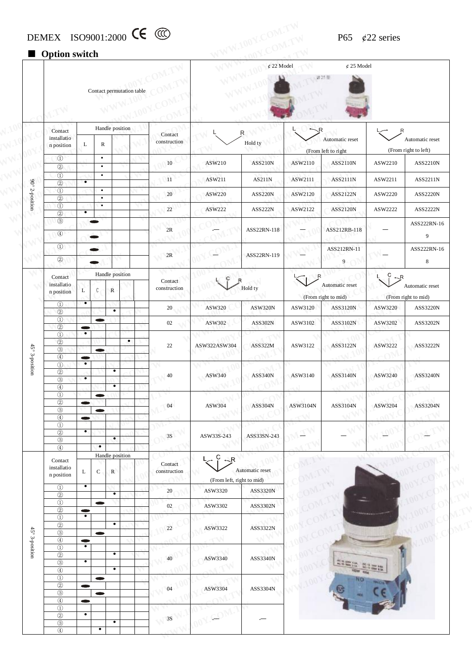## DEMEX ISO9001:2000 CC  $\odot$  P65  $\phi$ 22 series

## ■ **Option** switch

|                         |                                                                                                           |                        |                        |                           |           |                         |                                   | $\oint$ 22 Model |            | $¢$ 25 Model        |                 |                      |
|-------------------------|-----------------------------------------------------------------------------------------------------------|------------------------|------------------------|---------------------------|-----------|-------------------------|-----------------------------------|------------------|------------|---------------------|-----------------|----------------------|
|                         |                                                                                                           |                        |                        | Contact permutation table |           |                         |                                   |                  |            | 送25周                |                 |                      |
|                         |                                                                                                           |                        |                        |                           |           |                         |                                   |                  |            |                     |                 |                      |
|                         | Contact                                                                                                   |                        |                        | Handle position           |           | Contact                 |                                   | R                |            |                     |                 |                      |
|                         | installatio<br>n position                                                                                 | L                      | R                      |                           |           | construction            |                                   | Hold ty          |            | Automatic reset     |                 | Automatic reset      |
|                         | $\circled{1}$                                                                                             |                        | $\bullet$              |                           |           |                         |                                   |                  |            | (From left to right |                 | (From right to left) |
|                         | $^{\circledR}$<br>$\circled{1}$                                                                           |                        | $\bullet$<br>$\bullet$ |                           |           | 10                      | ASW210                            | <b>ASS210N</b>   | ASW2110    | <b>ASS2110N</b>     | ASW2210         | ASS2210N             |
|                         | $\circledcirc$                                                                                            | ٠                      |                        |                           |           | 11                      | ASW211                            | AS211N           | ASW2111    | ASS2111N            | ASW2211         | ASS2211N             |
| $90^{\circ}$ 2-position | $\circled{1}$<br>$\circled{2}$                                                                            |                        | $\bullet$<br>$\bullet$ |                           |           | 20                      | ASW220                            | <b>ASS220N</b>   | ASW2120    | ASS2122N            | ASW2220         | ASS2220N             |
|                         | $\circledcirc$<br>$\circled{2}$                                                                           | $\bullet$              | $\bullet$              |                           |           | 22                      | ASW222                            | ASS222N          | ASW2122    | ASS2120N            | ASW2222         | ASS2222N             |
|                         | $\circledS$                                                                                               |                        |                        |                           |           |                         |                                   |                  |            |                     |                 | ASS222RN-16          |
|                         | $\begin{array}{c} \textcircled{4} \end{array}$                                                            |                        |                        |                           |           | 2R                      |                                   | ASS22RN-118      |            | ASS212RB-118        |                 | 9                    |
|                         | $\circled{1}$                                                                                             |                        |                        |                           |           |                         |                                   |                  |            | ASS212RN-11         |                 | ASS222RN-16          |
|                         | $^{\circledR}$                                                                                            |                        |                        |                           |           | 2R                      |                                   | ASS22RN-119      |            | 9                   |                 | $\,8\,$              |
|                         | Contact                                                                                                   |                        |                        | Handle position           |           |                         |                                   |                  |            |                     | C<br>R          |                      |
|                         | installatio<br>n position                                                                                 | L                      | C                      | $\mathbb{R}$              |           | Contact<br>construction |                                   | Hold ty          |            | Automatic reset     |                 | Automatic reset      |
|                         | $\circled{1}$                                                                                             | $\bullet$              |                        |                           |           |                         |                                   |                  |            | (From right to mid) |                 | (From right to mid)  |
|                         | $\circled{2}$                                                                                             |                        |                        | $\bullet$                 |           | 20                      | ASW320                            | <b>ASW320N</b>   | ASW3120    | ASS3120N            | ASW3220         | ASS3220N             |
|                         | $\circled{1}$<br>$\circled{2}$                                                                            | $\bullet$              | œ                      |                           |           | 02                      | ASW302                            | ASS302N          | ASW3102    | ASS3102N            | ASW3202         | ASS3202N             |
|                         | $\textcircled{\scriptsize{1}}$<br>$\circled{2}$                                                           | $\bullet$              |                        |                           | $\bullet$ |                         |                                   |                  |            |                     |                 |                      |
|                         | $^\circledR$<br>$\circled{4}$                                                                             |                        | $\blacksquare$         |                           |           | 22                      | ASW322ASW304                      | ASS322M          | ASW3122    | ASS3122N            | ASW3222         | ASS3222N             |
| 45° 3-position          | $\Omega$                                                                                                  | $\bullet$              |                        |                           |           |                         |                                   |                  |            |                     |                 |                      |
|                         | $^\copyright$<br>$^\circledR$                                                                             | $\bullet$              |                        |                           |           | 40                      | ASW340                            | <b>ASS340N</b>   | ASW3140    | ASS3140N            | ASW3240         | ASS3240N             |
|                         | $\circled{4}$<br>$\circled{1}$                                                                            |                        | $\bullet$              | ٠                         |           |                         |                                   |                  |            |                     |                 |                      |
|                         | $\circledcirc$<br>$^\mathrm{\odot}$                                                                       | $\bullet$              | œ                      |                           |           | 04                      | ASW304                            | <b>ASS304N</b>   | ASW3104N   | ASS3104N            | ASW3204         | ASS3204N             |
|                         | $\circled{4}$                                                                                             | $\bullet$              |                        |                           |           |                         |                                   |                  | $\sqrt{N}$ |                     |                 |                      |
|                         | $\textcircled{\scriptsize{1}}$<br>$\circled{2}$                                                           | $\bullet$              |                        |                           |           | $3\mathrm{S}$           | ASW33S-243                        | ASS33SN-243      |            |                     |                 |                      |
|                         | $^\circledR$<br>$\circled{4}$                                                                             |                        | $\bullet$              | $\bullet$                 |           |                         |                                   |                  |            |                     |                 |                      |
|                         | Contact                                                                                                   |                        |                        | Handle position           |           |                         | $\overline{C}$<br>$\rightarrow R$ |                  |            |                     |                 |                      |
|                         | installatio<br>n position                                                                                 | L                      | ${\bf C}$              | ${\bf R}$                 |           | Contact<br>construction | (From left, right to mid)         | Automatic reset  |            |                     |                 |                      |
|                         | $\circled{1}$<br>$\circled{2}$                                                                            | $\bullet$              |                        | $\bullet$                 |           | 20                      | ASW3320                           | ASS3320N         |            |                     |                 |                      |
|                         | $\textcircled{\scriptsize{1}}$<br>$\circled{2}$                                                           |                        | $\bullet$              |                           |           | 02                      | ASW3302                           | ASS3302N         |            |                     |                 |                      |
|                         | $\circled{1}$                                                                                             | $\bullet$<br>$\bullet$ |                        |                           |           |                         |                                   |                  |            |                     | 7191911         |                      |
|                         | $\circled{2}$<br>$\circledS$<br>$^\circledR$                                                              | $\bullet$              | $\bullet$              | $\bullet$                 |           | 22                      | ASW3322                           | ASS3322N         |            |                     |                 |                      |
| 45° 3-position          | $\circled{1}$<br>$\circledS$                                                                              | $\bullet$<br>$\bullet$ |                        | $\bullet$                 |           | 40                      | ASW3340                           | ASS3340N         |            |                     |                 |                      |
|                         | $\circledS$<br>$\begin{tabular}{ c c } \hline $\circ$ & $\circ$ \\ \hline \end{tabular}$<br>$\circled{1}$ |                        | <b>COLOR</b>           | $\bullet$                 |           |                         |                                   |                  |            |                     | <b>USE R.M.</b> |                      |
|                         | $\circledS$<br>$\circledS$                                                                                | $\bullet$              | $\bullet$              |                           |           | 04                      | ASW3304                           | ASS3304N         |            |                     |                 |                      |
|                         | $^\circledR$                                                                                              | $\bullet$              |                        |                           |           |                         |                                   |                  |            |                     |                 |                      |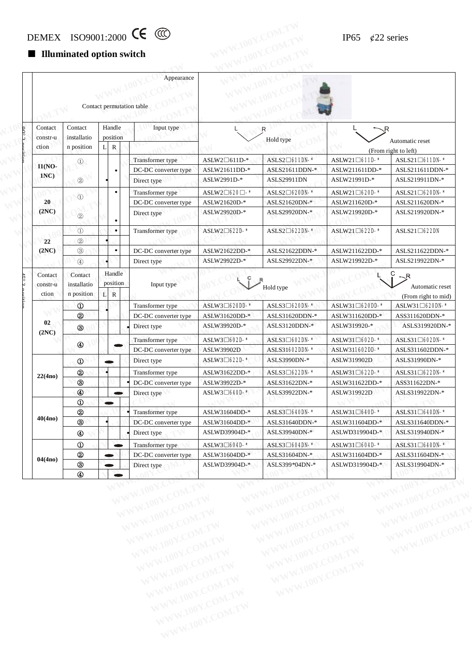# DEMEX ISO9001:2000 CC  $\bigcirc$  IP65 ¢22 series<br>
Illuminated option switch

#### ■ **Illuminated option switch**

|                     |                                |          |                    | Appearance                               |                                               |                                                |                                   |                                                                                                                     |
|---------------------|--------------------------------|----------|--------------------|------------------------------------------|-----------------------------------------------|------------------------------------------------|-----------------------------------|---------------------------------------------------------------------------------------------------------------------|
|                     |                                |          |                    |                                          |                                               |                                                |                                   |                                                                                                                     |
|                     |                                |          |                    |                                          |                                               |                                                |                                   |                                                                                                                     |
|                     |                                |          |                    | Contact permutation table                |                                               |                                                |                                   |                                                                                                                     |
| Contact             | Contact                        | Handle   |                    | Input type                               |                                               | R                                              | 、R                                |                                                                                                                     |
| constr-u            | installatio                    |          | position           |                                          |                                               | Hold type                                      |                                   | Automatic reset                                                                                                     |
| ction               | n position                     | $L \mid$ | ${\bf R}$          |                                          |                                               |                                                |                                   | (From right to left)                                                                                                |
| 11(NO-              | $^{\circledR}$                 |          |                    | Transformer type                         | $ASLW2 \square 611D-*$                        | ASLS2 <sup>041DN-*</sup>                       | ASLW21□611D-*                     | $ASLS21\Box 611DN-*$                                                                                                |
| 1NC                 |                                |          |                    | DC-DC converter type                     | ASLW21611DD-*                                 | ASLS21611DDN-*                                 | ASLW211611DD-*                    | ASLS211611DDN-*                                                                                                     |
|                     | $^{\circledR}$                 |          |                    | Direct type                              | ASLW2991D-*                                   | ASLS29911DN                                    | ASLW21991D-*                      | ASLS219911DN-*                                                                                                      |
|                     | $\odot$                        |          |                    | Transformer type                         | ASLW2□620□-*                                  | ASLS2 <sup>0620DN-*</sup>                      | $ASLW21 \square 620D-$ *          | $ASLS21\Box 620DN-*$                                                                                                |
| 20                  |                                |          |                    | DC-DC converter type                     | ASLW21620D-*                                  | ASLS21620DN-*                                  | ASLW211620D-*                     | ASLS211620DN-*                                                                                                      |
| (2NC)               | $^{\circledR}$                 |          |                    | Direct type                              | ASLW29920D-*                                  | ASLS29920DN-*                                  | ASLW219920D-*                     | ASLS219920DN-*                                                                                                      |
|                     | $\odot$                        |          | $\bullet$          | Transformer type                         | ASLW2□622D-*                                  | ASLS2 <sup>1</sup> 622DN-*                     | ASLW21□622D-*                     | $\text{ASLS21}\square$ 622DN                                                                                        |
| 22                  | $^{\circledR}$                 |          |                    |                                          |                                               |                                                |                                   |                                                                                                                     |
| (2NC)               | $\circledS$                    |          | ٠                  | DC-DC converter type                     | ASLW21622DD-*                                 | ASLS21622DDN-*                                 | ASLW211622DD-*                    | ASLS211622DDN-*                                                                                                     |
|                     | $\circledA$                    |          |                    | Direct type                              | ASLW29922D-*                                  | ASLS29922DN-*                                  | ASLW219922D-*                     | ASLS219922DN-*                                                                                                      |
| Contact<br>constr-u | Contact<br>installatio         |          | Handle<br>position | Input type                               |                                               | Hold type                                      |                                   | $\mathbin{\mathop{\mathsf{R}}\nolimits}$<br>Automatic reset                                                         |
| ction               | n position                     | L R      |                    |                                          |                                               |                                                |                                   | (From right to mid)                                                                                                 |
|                     | $^{\circ}$                     |          |                    | Transformer type                         | ASLW3□620DD-*                                 | ASLS3 <sup>[1620DN-*</sup>                     | ASLW31□620DD-*                    | ASLW31□620DN-*                                                                                                      |
|                     | 2                              |          |                    | DC-DC converter type                     | ASLW31620DD-*                                 | ASLS31620DDN-*                                 | ASLW311620DD-*                    | ASS311620DDN-*                                                                                                      |
| 02<br>(2NC)         | $^\circledR$                   |          |                    | Direct type                              | ASLW39920D-*                                  | ASLS3120DDN-*                                  | ASLW319920-*                      | ASLS319920DN-*                                                                                                      |
|                     |                                |          |                    |                                          |                                               |                                                |                                   |                                                                                                                     |
|                     |                                |          |                    | Transformer type                         | ASLW3□602D-*                                  | ASLS3□602DN-*                                  | $\text{ASLW31}\,\square\,$ 602D-* |                                                                                                                     |
|                     | $^{\circledR}$                 |          |                    | DC-DC converter type                     | ASLW39902D                                    | ASLS31602DDN-*                                 | ASLW311602DD-*                    |                                                                                                                     |
|                     | $^{\circ}$                     |          |                    | Direct type                              | ASLW3□622D-*                                  | ASLS3990DN-*                                   | ASLW319902D                       |                                                                                                                     |
|                     |                                |          |                    |                                          |                                               | ASLS3□622DN-*                                  |                                   |                                                                                                                     |
| 22(4no)             | 2<br>$^{\circledR}$            |          |                    | Transformer type<br>DC-DC converter type | ASLW31622DD-*<br>ASLW39922D-*                 | ASLS31622DN-*                                  | ASLW31□622D-*<br>ASLW311622DD-*   |                                                                                                                     |
|                     | $^{\circledR}$                 |          |                    | Direct type                              | ASLW3□640D-*                                  | ASLS39922DN-*                                  | ASLW319922D                       |                                                                                                                     |
|                     | $\textcircled{\scriptsize{1}}$ |          |                    |                                          |                                               |                                                |                                   | ASLS31□602DN-*<br>ASLS311602DDN-*<br>ASLS31990DN-*<br>ASLS31 <sup>-622DN-*</sup><br>ASS311622DN-*<br>ASLS319922DN-* |
|                     | $^{\circledR}$                 |          |                    | Transformer type                         | ASLW31604DD-*                                 | $\text{ASLS3}\square\text{640DN-*}$            | ASLW31□640D-*                     |                                                                                                                     |
| 40(4no)             | $^\circledR$                   |          |                    | DC-DC converter type                     | ASLW31604DD-*                                 | ASLS31640DDN-*                                 | ASLW311604DD-*                    |                                                                                                                     |
|                     | $^{\circledR}$                 |          |                    | Direct type                              | ASLWD39904D-*                                 | ASLS39940DN-*                                  | ASLWD319904D-*                    |                                                                                                                     |
|                     |                                |          |                    | Transformer type                         |                                               |                                                |                                   | $ASLS31\Box 640DN-*$<br>ASLS311640DDN-*<br>ASLS319940DN-*                                                           |
|                     | $^{\circ}$<br>$^{\circledR}$   |          |                    | DC-DC converter type                     | $\text{ASLW3}\square$ 604D-*<br>ASLW31604DD-* | $\text{ASLS3}\square$ 604DN-*<br>ASLS31604DN-* | ASLW31□604D-*                     | ASLS31 <sup>1</sup> 640DN-*<br>ASLS311604DN-*                                                                       |
| 04(4no)             | $\circledS$                    |          |                    | Direct type                              | ASLWD39904D-*                                 | ASLS399*04DN-*                                 | ASLW311604DD-*<br>ASLWD319904D-*  | ASLS319904DN-*                                                                                                      |

WWW.100Y.COM.TW WWW.100Y.COM.TW WWW.100Y.COM.TW WWW.100Y.COM.TW WWW.100Y.COM.TW WWW.100Y.COM.TW WWW.100Y.COM.TW WWW.100Y.COM.TW WWW.100Y.COM.TW WWW.100Y.COM.TW WWW.100Y.COM.TW WWW.100Y.COM.TW WWW.100Y.COM.TW WWW.100Y.COM.TW WWW.100Y.COM.TW WWW.100Y.COM.TW WWW.100Y.COM.TW WWW.100Y.COM.TW WWW.100Y.COM.TW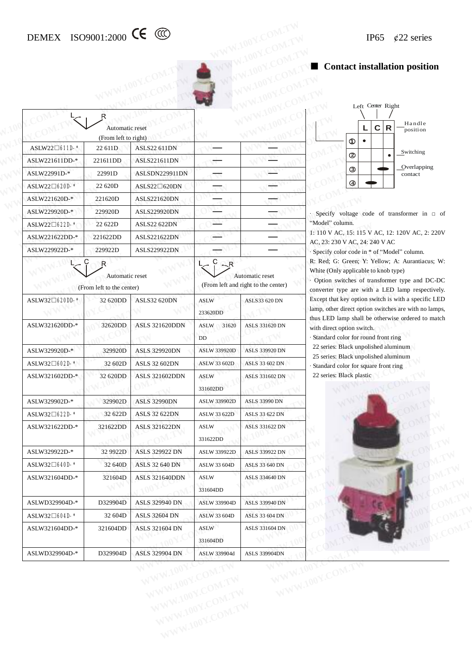# DEMEX ISO9001:2000 CC  $\textcircled{C}$  IP65 ¢22 series

#### ■ **Contact installation position**

|                            |                                         |                        |                         |                                     | ■ Contact installation position                                                                                                            |
|----------------------------|-----------------------------------------|------------------------|-------------------------|-------------------------------------|--------------------------------------------------------------------------------------------------------------------------------------------|
|                            |                                         |                        |                         |                                     | Left Center Right                                                                                                                          |
|                            | R                                       |                        |                         |                                     | Handle                                                                                                                                     |
|                            | Automatic reset<br>(From left to right) |                        |                         |                                     | $\mathbf c$<br>R<br>L<br>position                                                                                                          |
| ASLW22□611D-*              | 22 611D                                 | <b>ASLS22 611DN</b>    |                         |                                     | $^{\circ}$<br>Switching                                                                                                                    |
| ASLW221611DD-*             | 221611DD                                | ASLS221611DN           |                         |                                     | ◎                                                                                                                                          |
| ASLW22991D-*               | 22991D                                  | ASLSDN229911DN         |                         |                                     | Overlapping<br>$\circledS$<br>contact                                                                                                      |
| ASLW22□620D-*              | 22 620D                                 | $ASLS22 \square 620DN$ |                         |                                     | $\circledast$                                                                                                                              |
| ASLW221620D-*              | 221620D                                 | ASLS221620DN           |                         |                                     |                                                                                                                                            |
| ASLW229920D-*              | 229920D                                 | ASLS229920DN           |                         |                                     | Specify voltage code of transformer in $\Box$ of                                                                                           |
| ASLW22□622D-*              | 22 622D                                 | <b>ASLS22 622DN</b>    |                         |                                     | "Model" column.                                                                                                                            |
| ASLW221622DD-*             | 221622DD                                | ASLS221622DN           |                         |                                     | 1: 110 V AC, 15: 115 V AC, 12: 120V AC, 2: 220V<br>AC, 23: 230 V AC, 24: 240 V AC                                                          |
| ASLW229922D-*              | 229922D                                 | ASLS229922DN           |                         |                                     | · Specify color code in * of "Model" column.                                                                                               |
|                            | R<br>Automatic reset                    |                        | $-R$                    | Automatic reset                     | R: Red; G: Green; Y: Yellow; A: Aurantiacus; W:<br>White (Only applicable to knob type)<br>· Option switches of transformer type and DC-DC |
|                            | (From left to the center)               |                        |                         | (From left and right to the center) | converter type are with a LED lamp respectively.                                                                                           |
| ASLW32 <sup>0620DD-*</sup> | 32 620DD                                | <b>ASLS32 620DN</b>    | <b>ASLW</b>             | ASLS33 620 DN                       | Except that key option switch is with a specific LED<br>lamp, other direct option switches are with no lamps,                              |
|                            |                                         |                        | 233620DD                |                                     | thus LED lamp shall be otherwise ordered to match                                                                                          |
| ASLW321620DD-*             | 32620DD                                 | <b>ASLS 321620DDN</b>  | ASLW<br>31620           | ASLS 331620 DN                      | with direct option switch.                                                                                                                 |
|                            |                                         |                        | DD                      |                                     | Standard color for round front ring<br>22 series: Black unpolished aluminum                                                                |
| ASLW329920D-*              | 329920D                                 | <b>ASLS 329920DN</b>   | <b>ASLW 339920D</b>     | ASLS 339920 DN                      | 25 series: Black unpolished aluminum                                                                                                       |
| ASLW32□602D-*              | 32 602D                                 | <b>ASLS 32 602DN</b>   | ASLW 33 602D            | ASLS 33 602 DN                      | Standard color for square front ring                                                                                                       |
| ASLW321602DD-*             | 32 620DD                                | <b>ASLS 321602DDN</b>  | <b>ASLW</b><br>331602DD | <b>ASLS 331602 DN</b>               | 22 series: Black plastic                                                                                                                   |
| ASLW329902D-*              | 329902D                                 | <b>ASLS 32990DN</b>    | <b>ASLW 339902D</b>     | <b>ASLS 33990 DN</b>                |                                                                                                                                            |
| $ASLW32 \square 622D-$ *   | 32 622D                                 | <b>ASLS 32 622DN</b>   | ASLW 33 622D            | ASLS 33 622 DN                      |                                                                                                                                            |
| ASLW321622DD-*             | 321622DD                                | <b>ASLS 321622DN</b>   | <b>ASLW</b><br>331622DD | ASLS 331622 DN                      |                                                                                                                                            |
| ASLW329922D-*              | 32 9922D                                | <b>ASLS 329922 DN</b>  | ASLW 339922D            | ASLS 339922 DN                      |                                                                                                                                            |
| $ASLW32 \square 640D-*$    | 32 640D                                 | <b>ASLS 32 640 DN</b>  | <b>ASLW 33 604D</b>     | ASLS 33 640 DN                      |                                                                                                                                            |
| ASLW321604DD-*             | 321604D                                 | <b>ASLS 321640DDN</b>  | <b>ASLW</b><br>331604DD | ASLS 334640 DN                      |                                                                                                                                            |
| ASLWD329904D-*             | D329904D                                | <b>ASLS 329940 DN</b>  | <b>ASLW 339904D</b>     | <b>ASLS 339940 DN</b>               |                                                                                                                                            |
| $ASLW32\square 604D-*$     | 32 604D                                 | <b>ASLS 32604 DN</b>   | ASLW 33 604D            | <b>ASLS 33 604 DN</b>               |                                                                                                                                            |
|                            | 321604DD                                | <b>ASLS 321604 DN</b>  | ASLW<br>331604DD        | ASLS 331604 DN                      |                                                                                                                                            |
| ASLW321604DD-*             |                                         |                        |                         |                                     |                                                                                                                                            |



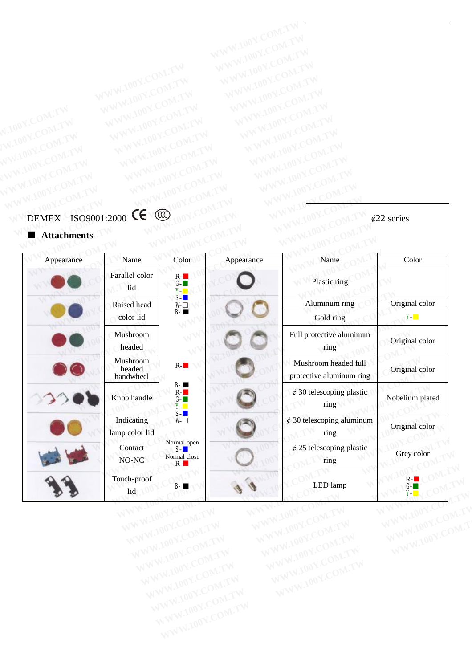## DEMEX ISO9001:2000  $\sqrt{9}$  (22 series WWW.100Y.COM.TW WWW.100Y.COM.TW WWW.100Y.COM.TW WWW.100Y.COM.TW WWW.100Y.COM.TW WWW.100Y.COM.TW WWW.100Y.COM.TW WWW.100Y.COM.TW WWW.100Y.COM.TW WWW.100Y.COM.TW WWW.100Y.COM.TW WWW.100Y.COM.TW WWW.100Y.COM.TW WWW.100Y.COM.T WWW.100Y.COM.TW WWW.100Y.COM.TW WWW.100Y.COM.TW WWW.100Y.COM.TW WWW.100Y.COM.TW WWW.100Y.COM.TW WWW.100Y.COM.TW WWW.100Y.COM.TW WWW.100Y.COM.TW WWW.100Y.COM.TW WWW.100Y.COM.TW WWW.100Y.COM.TW WWW.100Y.COM.TW WWW.100Y.COM.TW WWW.100Y.COM.TW **WWW.100Y.COM.TW WWW.100Y.COM.TW WWW.100Y.COM.TW WWW.100Y.COM.TW WWW.100Y.COM.TW WWW.100Y.COM.TW WWW.100Y.COM.TW WWW.100Y.COM.TW WWW.100Y.COM.TW WWW.100Y.COM.TW WWW.100Y.COM.TW**

| <b>Attachments</b> |
|--------------------|
|                    |

| Appearance | Name                            | Color                                            | Appearance | Name                                                                   | Color                                           |
|------------|---------------------------------|--------------------------------------------------|------------|------------------------------------------------------------------------|-------------------------------------------------|
|            | Parallel color<br>lid           | $R -$<br>$G -$<br><b>Y-11</b>                    |            | Plastic ring                                                           |                                                 |
|            | Raised head                     | $S-I$<br>$W \Box$                                |            | Aluminum ring                                                          | Original color                                  |
|            | color lid                       | B-1                                              |            | Gold ring                                                              | $Y -$                                           |
|            | Mushroom<br>headed              |                                                  |            | Full protective aluminum<br>ring                                       | Original color                                  |
|            | Mushroom<br>headed<br>handwheel | $R -$                                            |            | Mushroom headed full<br>protective aluminum ring                       | Original color                                  |
|            | Knob handle                     | $B - m$<br>$R -$<br>$G -$<br><b>Y</b> - <b>T</b> |            | $\phi$ 30 telescoping plastic<br>ring                                  | Nobelium plated                                 |
|            | Indicating<br>lamp color lid    | S-∎<br>₩⊓                                        |            | $\rlap{\hspace{0.02cm}/}{\varepsilon}$ 30 telescoping aluminum<br>ring | Original color                                  |
|            | Contact<br>NO-NC                | Normal open<br>$S-I$<br>Normal close<br>$R -$    |            | $\phi$ 25 telescoping plastic<br>ring                                  | Grey color                                      |
|            | Touch-proof<br>lid<br>WWW.100L  | B- I<br>WWW.100Y.COM.FT                          | WWW.Ida    | LED lamp<br>WWW.100Y.COME                                              | $R -$<br><u>Y- L</u><br>WWW.10<br>WWW.100Y.COM. |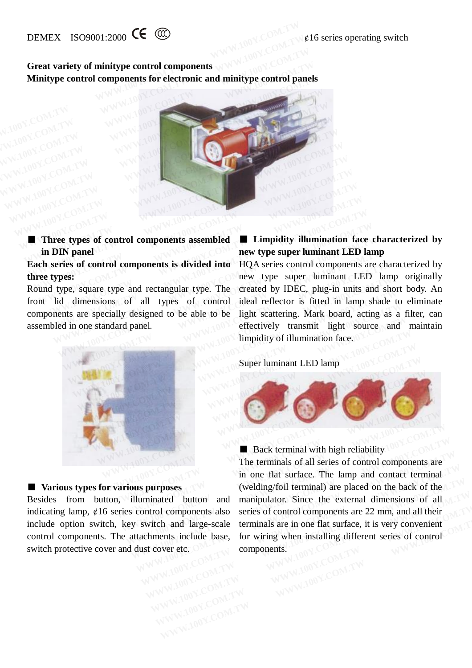#### **Great variety of minitype control components Minitype control components for electronic and minitype control panels**



■ **Three types** of **control components** assembled **in DIN panel** 

### **Each series of control components is divided into three types:**

Round type, square type and rectangular type. The front lid dimensions of all types of control components are specially designed to be able to be assembled in one standard panel.

## **■ Limpidity illumination face characterized by new type super luminant LED lamp**

HQA series control components are characterized by new type super luminant LED lamp originally created by IDEC, plug-in units and short body. An ideal reflector is fitted in lamp shade to eliminate light scattering. Mark board, acting as a filter, can effectively transmit light source and maintain limpidity of illumination face. **Three types of control components assembled**<br> **Example 100Y.COM.TW 100Y.COM.TW 100Y.COM.TW 100Y.COM.TW 100Y.COM.TW 100Y.COM.TW 100Y.COM.TW 100Y.COM.TW 100Y.COM.TW 100Y.COM.TW 100Y.COM.TW 100Y.COM.TW 100Y.COM.TW 100Y.COM.T EXECUTE:**<br> **WE THE COMMON COMPONERT ASSEMBLED IS THE COMMON COMPONERT ASSEMBLED IS Series of control components is divided into HQA series control components a types:<br>
types:<br>
d type, square type and rectangular type. The Exampled Exampled Exampled IDIN panel**<br> **We super luminant LED lar**<br> **We super luminant LED lar**<br> **We super luminant LED lar**<br> **We super luminant LED**<br> **We super luminant LED**<br> **We super luminant LED**<br> **We super luminant EXECUTE: WE SET UNIVER THE CONFORMATE THE CONFORMATE THE SOLUTION COMPONENTS IS divided into HQA series control components are pes:<br>
The wave type super luminant LED lam<br>
we type super luminant LED<br>
ype, square type and EXECUTE:** New type super luminant LED lamp<br>
resort components is divided into HQA series control components are c<br>
res:<br>
rep. square type and rectangular type. The created by IDEC, plug-in units and<br>
1 dimensions of all t **EXERCUTE IS SERVICED THE SERVICE OF SERVICE OF SERVICE ORDER SERVICE DETAILS AND RECTION ON SUPER UNITS AND SUPER UNITS AND SUPER UNITS AND SUPER UNITS AND SUPER UNITS AND SUPER UNITS AND A SERVICE CONDUCT A SERVICE OF ST** Example 100 and rectangular type. The created by IDEC, plug-in units and shd<br>dimensions of all types of control ideal reflector is fitted in lamp shade<br>are specially designed to be able to be light scattering. Mark board,

Super luminant LED lamp



## ■ Back terminal with high reliability

The terminals of all series of control components are in one flat surface. The lamp and contact terminal (welding/foil terminal) are placed on the back of the manipulator. Since the external dimensions of all series of control components are 22 mm, and all their terminals are in one flat surface, it is very convenient for wiring when installing different series of control components. **WWW.100Y.COM.TW WWW.100Y.COM.TW WWW.100Y.COM.TW** Back terminal with high reliability<br>The terminals of all series of control components are<br>in one flat surface. The lamp and contact terminal<br>rious purposes (welding/foil terminal) are placed on the back of the<br>illuminated **WWW.100Y.COM.TW WWW.100Y.COM.TW WWW.100Y.COM.TW EXECUTE:** The terminals of all series of control components are<br>in one flat surface. The lamp and contact terminal<br>ous purposes (welding/foil terminal) are placed on the back of the<br>illuminated button and manipulator. Sin **Example 1988**<br>
The terminals of all series of control components are<br>
in one flat surface. The lamp and contact terminal<br>
use purposes<br>
(welding/foil terminal) are placed on the back of the<br>
luminated button and manipulat WW.100Y.COM.TW WWW.100Y.COM.TW **Purposes** (welding/foil terminal) are placed on the back of the UTW<br>minated button and manipulator. Since the external dimensions of all MUTW<br>witch and large-scale terminals are in one flat surface, it is very convenient<br> **EXERCITE DEAL OF A THRANGE IN STREET AND RELEASE AND SERVING WEIGHT OF A THRANGE IN STREET AND THE STREET AND THE STREET AND RELEASE AND THE STREET AND RELEASE AND THE STREET AND THE STREET AND THE STREET AND THE STREET A Example 18 and 18 arge-scale terminals are in one flat surface, it is very convenient<br>conditions include base, for wiring when installing different series of control<br>cover etc. ONLTW components.<br>COM.TW COM.TW COM.TW COM.T Example 3 are in one flat surface, it is very convenient**<br> **WAW in the section of the components.**<br>
WANDOY.COM.TW **WWW.100Y.COM.TW PRIME 200Y.COM.TW**<br> **WANDOY.COM.TW WWW.100Y.COM.TW**<br> **WWW.100Y.COM.TW WWW.100Y.COM.TW**<br> **W** 



#### ■ **Various types for various purposes**

Besides from button, illuminated button and indicating lamp, ¢16 series control components also include option switch, key switch and large-scale control components. The attachments include base, switch protective cover and dust cover etc.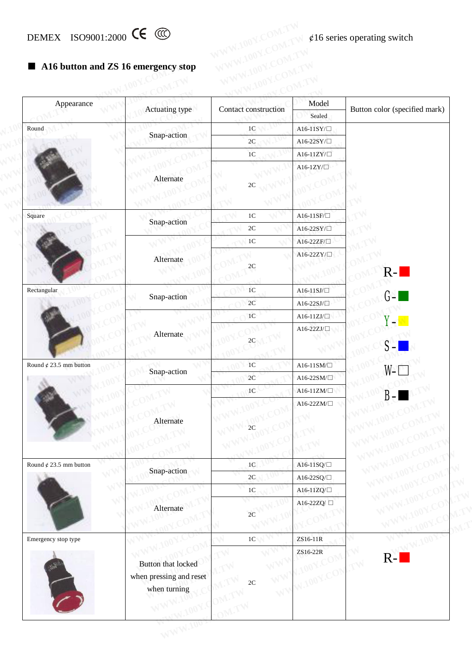## ■ **A16 button and ZS 16 emergency stop**

| A16 button and ZS 16 emergency stop<br>$\blacksquare$ |                                                               |                      |                           |                                   |
|-------------------------------------------------------|---------------------------------------------------------------|----------------------|---------------------------|-----------------------------------|
| Appearance                                            | Actuating type                                                | Contact construction | Model                     | Button color (specified mark)     |
|                                                       |                                                               |                      | Sealed                    |                                   |
| Round                                                 | Snap-action                                                   | $1\mathrm{C}$        | $A16-11SY/\Box$           |                                   |
|                                                       |                                                               | $2\mathrm{C}$        | A16-22SY/ $\Box$          |                                   |
|                                                       |                                                               | $1C$                 | A16-11ZY/ $\Box$          |                                   |
|                                                       | Alternate                                                     | $2\mathrm{C}$        | A16-1ZY/ $\Box$           |                                   |
| Square                                                |                                                               | $1C$                 | A16-11SF/ $\Box$          |                                   |
|                                                       | Snap-action                                                   | $2\mathrm{C}$        | A16-22SY/ $\Box$          |                                   |
|                                                       |                                                               | $1\mathrm{C}$        | A16-22ZF/ $\square$       |                                   |
|                                                       | Alternate                                                     | $2\mathrm{C}$        | A16-22ZY/ $\Box$          | $R -$                             |
| Rectangular                                           |                                                               | $1C$                 | A16-11SJ/ $\Box$          | <b>Service Service</b>            |
|                                                       | Snap-action                                                   | $2\mathrm{C}$        | $A16-22SJ/\Box$           | $G - I$                           |
|                                                       |                                                               | $1\mathrm{C}$        | $\text{A16-11ZJ}/\Box$    | <b>Y</b> –                        |
|                                                       | Alternate                                                     | 2C                   | A16-22ZJ/ $\Box$          |                                   |
| Round $\phi$ 23.5 mm button                           | Snap-action                                                   | 1 <sup>C</sup>       | $A16-11SM/\Box$           | W [                               |
|                                                       |                                                               | 2C                   | $\text{A16-22SM}/\square$ |                                   |
|                                                       |                                                               | $1\mathrm{C}$        | $A16-11ZM/\Box$           |                                   |
|                                                       | Alternate                                                     | $_{2C}$              | A16-22ZM/ $\Box$          |                                   |
| Round ¢ 23.5 mm button                                | Snap-action                                                   | $1\mathrm{C}$        | A16-11SQ/ $\Box$          |                                   |
|                                                       |                                                               | $2\mathrm{C}$        | A16-22SQ/ $\Box$          |                                   |
|                                                       |                                                               | $1\mathrm{C}$        | A16-11ZQ/ $\Box$          |                                   |
|                                                       | Alternate                                                     | 2C                   | A16-22ZQ/□                |                                   |
| Emergency stop type                                   |                                                               | 1 <sup>C</sup>       | ZS16-11R                  |                                   |
|                                                       | Button that locked<br>when pressing and reset<br>when turning | $2\mathrm{C}$<br>W   | ZS16-22R<br>W.100Y.C      | $\rightsquigarrow$<br>$R-I$<br>TV |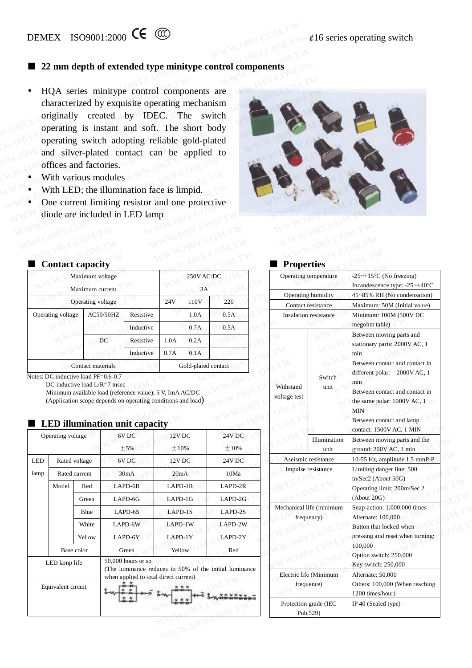## ■ **22 mm** depth of extended type minitype control components

- HQA series minitype control components are characterized by exquisite operating mechanism originally created by IDEC. The switch operating is instant and soft. The short body operating switch adopting reliable gold-plated and silver-plated contact can be applied to offices and factories. **WWW.100Y.COM.32 mm depth of extended type minitype control components<br>
• HQA series minitype control components are<br>
characterized by exquisite operating mechanism<br>
originally created by IDEC. The switch<br>
operating is ins WWW.4009001:2000 CCM.**<br> **WE 22 mm depth of extended type minitype control components**<br>
• HQA series minitype control components are characterized by exquisite operating mechanism originally created by IDEC. The switch ope **WE ALCOMED 22 mm depth of extended type minitype control components<br>
• HQA series minitype control components are<br>
characterized by exquisite operating mechanism<br>
originally created by IDEC. The switch<br>
operating is insta** ■ 22 mm depth of extended type minitype control components<br>
■ HQA series minitype control components are<br>
characterized by exquisite operating mechanism<br>
originally created by IDEC. The switch<br>
operating is instant and so • HQA series minitype control components are<br>characterized by exquisite operating mechanism<br>originally created by IDEC. The switch<br>operating is instant and soft. The short body<br>operating switch adopting reliable gold-plate • HQA series minitype control components are<br>characterized by exquisite operating mechanism<br>originally created by IDEC. The switch<br>operating is instant and soft. The short body<br>operating switch adopting reliable gold-plate The contracterized by exquisite operating mechanism<br>
originally created by IDEC. The switch<br>
operating is instant and soft. The short body<br>
operating switch adopting reliable gold-plated<br>
and silver-plated contact can be a The switch adopting is instant and soft. The switch body<br>operating is instant and soft. The short body<br>operating switch adopting reliable gold-plated<br>and silver-plated contact can be applied to<br>offices and factories.<br>With
	- With various modules
	- With LED; the illumination face is limpid.
	- One current limiting resistor and one protective diode are included in LED lamp



| With LED; the illumination face is limpid.<br>One current limiting resistor and one protective<br>diode are included in LED lamp |                                                                                              |           |      |                     |      |                           |                       |                                     |
|----------------------------------------------------------------------------------------------------------------------------------|----------------------------------------------------------------------------------------------|-----------|------|---------------------|------|---------------------------|-----------------------|-------------------------------------|
| <b>Contact capacity</b>                                                                                                          |                                                                                              |           |      |                     |      | <b>Properties</b>         |                       |                                     |
|                                                                                                                                  | Maximum voltage                                                                              |           |      | 250V AC/DC          |      |                           | Operating temperature | $-25+15$ °C (No<br>Incandescence to |
|                                                                                                                                  | Maximum current                                                                              |           |      | 3A                  |      |                           | Operating humidity    | 45~85% RH (No                       |
|                                                                                                                                  | Operating voltage                                                                            |           | 24V  | 110V                | 220  | Contact resistance        | Maximum: 50M          |                                     |
| Operating voltage                                                                                                                | AC50/50HZ                                                                                    | Resistive |      | 1.0A                | 0.5A |                           | Insulation resistance | Minimum: 100N<br>megohm table)      |
|                                                                                                                                  |                                                                                              | Inductive |      | 0.7A                | 0.5A |                           |                       | Between moving                      |
|                                                                                                                                  | DC                                                                                           | Resistive | 1.0A | 0.2A                |      |                           |                       | stationary parts:                   |
|                                                                                                                                  |                                                                                              | Inductive | 0.7A | 0.1A                |      |                           |                       | min                                 |
| Notes: DC inductive load PF=0.6-0.7                                                                                              | Contact materials                                                                            |           |      | Gold-plated contact |      |                           | Switch                | Between contact<br>different polar: |
|                                                                                                                                  | DC inductive load $L/R = 7$ msec<br>Minimum available load (reference value); 5 V, ImA AC/DC |           |      |                     |      | Withstand<br>voltage test | unit                  | min<br>Between contact              |

 Minimum available load (reference value); 5 V, ImA AC/DC (Application scope depends on operating conditions and load)

|            |                                     |               | ЕЕР шипшанон иштемраспу                                                                                                 |                   |                   |
|------------|-------------------------------------|---------------|-------------------------------------------------------------------------------------------------------------------------|-------------------|-------------------|
|            | Operating voltage                   |               | 6V <sub>DC</sub>                                                                                                        | 12V <sub>DC</sub> | 24V <sub>DC</sub> |
|            |                                     |               | ±5%                                                                                                                     | $\pm 10\%$        | $\pm 10\%$        |
| <b>LED</b> |                                     | Rated voltage | 6V DC                                                                                                                   | 12V <sub>DC</sub> | 24V DC            |
| lamp       |                                     | Rated current | 30mA                                                                                                                    | 20mA              | 10Ma              |
|            | Model                               | Red           | LAPD-6R                                                                                                                 | $LAPD-1R$         | LAPD-2R           |
|            |                                     | Green         | $LAPD-6G$                                                                                                               | $LAPD-1G$         | $LAPD-2G$         |
|            |                                     | Blue          | LAPD-6S                                                                                                                 | LAPD-1S           | $LAPD-2S$         |
|            |                                     | White         | LAPD-6W                                                                                                                 | LAPD-1W           | LAPD-2W           |
|            |                                     | Yellow        | LAPD-6Y                                                                                                                 | LAPD-1Y           | LAPD-2Y           |
|            |                                     | Base color    | Green                                                                                                                   | Yellow            | Red               |
|            | LED lamp life<br>Equivalent circuit |               | $50,000$ hours or so<br>(The luminance reduces to 50% of the initial luminance<br>when applied to total direct current) |                   |                   |
|            |                                     |               |                                                                                                                         |                   |                   |

### ■ **LED illumination unit capacity**

## ■ **Properties**

|        | aximum voltage     |                                                                                                                              |                           | 250V AC/DC          |                                                        |                           | Operating temperature                  | $-25 \sim +15$ °C (No freezing)                                                                                                            |  |
|--------|--------------------|------------------------------------------------------------------------------------------------------------------------------|---------------------------|---------------------|--------------------------------------------------------|---------------------------|----------------------------------------|--------------------------------------------------------------------------------------------------------------------------------------------|--|
|        | aximum current     |                                                                                                                              |                           | 3A                  |                                                        |                           |                                        | Incandescence type: -25~+40°C                                                                                                              |  |
|        | erating voltage    |                                                                                                                              | 24V                       | 110V                | 220                                                    |                           | Operating humidity                     | 45~85% RH (No condensation)                                                                                                                |  |
|        | AC50/50HZ          | Resistive                                                                                                                    |                           | 1.0A                | 0.5A                                                   |                           | Contact resistance                     | Maximum: 50M (Initial value)                                                                                                               |  |
|        |                    | Inductive                                                                                                                    |                           | 0.7A                | 0.5A                                                   |                           | Insulation resistance                  | Minimum: 100M (500V DC<br>megohm table)                                                                                                    |  |
|        | DC                 | Resistive                                                                                                                    | 1.0A                      | 0.2A                |                                                        |                           |                                        | Between moving parts and<br>stationary parts: 2000V AC, 1                                                                                  |  |
|        |                    | Inductive                                                                                                                    | 0.7A                      | 0.1A                |                                                        |                           |                                        | min                                                                                                                                        |  |
|        | ontact materials   |                                                                                                                              |                           | Gold-plated contact |                                                        |                           |                                        | Between contact and contact in<br>different polar: 2000V AC, 1                                                                             |  |
|        | e load L/R=7 msec  | vailable load (reference value); 5 V, ImA AC/DC<br>scope depends on operating conditions and load)<br>mination unit capacity |                           |                     |                                                        | Withstand<br>voltage test | unit                                   | min<br>Between contact and contact in<br>the same polar: 1000V AC, 1<br><b>MIN</b><br>Between contact and lamp<br>contact: 1500V AC, 1 MIN |  |
| age    |                    | 6V <sub>DC</sub><br>$\pm$ 5%                                                                                                 | 12V <sub>DC</sub><br>±10% |                     | 24V DC<br>$\pm 10\%$                                   |                           | Illumination<br>unit                   | Between moving parts and the<br>ground: 200V AC, 1 min                                                                                     |  |
| oltage |                    | 6V <sub>DC</sub>                                                                                                             | 12V <sub>DC</sub>         |                     | 24V <sub>DC</sub>                                      |                           | Aseismic resistance                    | 10-55 Hz, amplitude 1.5 mmP-P                                                                                                              |  |
| urrent |                    | 30mA                                                                                                                         | 20mA                      |                     | 10Ma                                                   |                           | Impulse resistance                     | Limiting danger line: 500<br>m/Sec2 (About 50G)                                                                                            |  |
| Red    |                    | LAPD-6R                                                                                                                      | LAPD-1R                   |                     | LAPD-2R                                                |                           | Operating limit: 200m/Sec 2            |                                                                                                                                            |  |
| Green  |                    | LAPD-6G                                                                                                                      | $LAPD-1G$                 |                     | LAPD-2G                                                |                           |                                        | (About 20G)                                                                                                                                |  |
| Blue   |                    | LAPD-6S                                                                                                                      | LAPD-1S                   |                     | LAPD-2S                                                |                           | Mechanical life (minimum<br>frequency) | Snap-action: 1,000,000 times<br>Alternate: 100,000                                                                                         |  |
| White  |                    | LAPD-6W                                                                                                                      | LAPD-1W                   |                     | LAPD-2W                                                |                           |                                        | Button that locked when                                                                                                                    |  |
|        |                    | LAPD-6Y                                                                                                                      | $LAPD-1Y$                 |                     | LAPD-2Y                                                |                           |                                        | pressing and reset when turning:                                                                                                           |  |
| Yellow |                    | Green                                                                                                                        | Yellow                    |                     | Red                                                    |                           |                                        | 100,000<br>Option switch: 250,000                                                                                                          |  |
| olor   |                    |                                                                                                                              |                           |                     |                                                        |                           |                                        | Key switch: 250,000                                                                                                                        |  |
| fe     | 50,000 hours or so |                                                                                                                              |                           |                     |                                                        |                           |                                        |                                                                                                                                            |  |
|        |                    | when applied to total direct current)                                                                                        |                           |                     | (The luminance reduces to 50% of the initial luminance |                           | Electric life (Minimum                 | Alternate: 50,000                                                                                                                          |  |
| cuit   |                    |                                                                                                                              |                           |                     |                                                        |                           | frequence)                             | Others: 100,000 (When reaching<br>1200 times/hour)                                                                                         |  |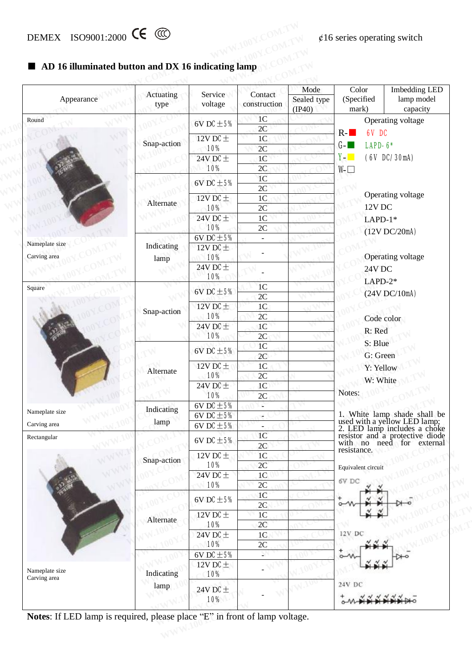#### ■ **AD** 16 **illuminated button** and **DX** 16 **indicating** lamp

| Appearance                     | Actuating<br>type  | Service<br>voltage                      | Contact<br>construction               | Mode<br>Sealed type<br>(IP40) | Color<br>(Specified<br>mark)                       | <b>Imbedding LED</b><br>lamp model<br>capacity                                                                                                               |  |
|--------------------------------|--------------------|-----------------------------------------|---------------------------------------|-------------------------------|----------------------------------------------------|--------------------------------------------------------------------------------------------------------------------------------------------------------------|--|
| Round                          |                    | $6V$ DC $\pm$ 5%                        | 1 <sup>C</sup><br>2C                  |                               |                                                    | Operating voltage                                                                                                                                            |  |
|                                | Snap-action        | 12V DC $\pm$<br>10%                     | 1 <sup>C</sup><br>2C                  |                               | $R -$<br>6V DC<br>$G - \blacksquare$<br>$LAPD-6*$  |                                                                                                                                                              |  |
|                                |                    | 24V DC $\pm$<br>10%                     | 1 <sup>C</sup><br>2C                  |                               | $Y -$<br>$W \Box$                                  | (6V DC/30mA)                                                                                                                                                 |  |
|                                |                    | $6V$ DC $\pm$ 5%                        | 1 <sup>C</sup><br>2C                  |                               |                                                    |                                                                                                                                                              |  |
|                                | Alternate          | 12V DC $\pm$<br>10%                     | 1 <sup>C</sup><br>2C                  |                               | 12V DC                                             | Operating voltage                                                                                                                                            |  |
|                                |                    | 24V DC $\pm$<br>10%                     | 1 <sup>C</sup><br>2C                  |                               | $LAPD-1*$                                          | (12V)DC/20mA)                                                                                                                                                |  |
| Nameplate size<br>Carving area | Indicating<br>lamp | $6V$ DC $\pm$ 5%<br>12V DC $\pm$<br>10% | $\blacksquare$                        |                               |                                                    | Operating voltage                                                                                                                                            |  |
|                                |                    | 24V DC $\pm$<br>10%                     |                                       |                               | 24V DC<br>$LAPD-2*$                                |                                                                                                                                                              |  |
| Square                         |                    | 6V DC $\pm$ 5%                          | 1 <sup>C</sup><br>2C                  |                               |                                                    | (24V)DC/10mA)                                                                                                                                                |  |
|                                | Snap-action        | 12V DC $\pm$<br>10%                     | $1\mathrm{C}$<br>2C                   |                               |                                                    | Code color                                                                                                                                                   |  |
|                                |                    | 24V DC $\pm$<br>10%                     | 1 <sup>C</sup><br>2C                  |                               | R: Red                                             |                                                                                                                                                              |  |
|                                |                    | $6V$ DC $±$ 5%                          | 1 <sup>C</sup><br>2C                  |                               | S: Blue<br>G: Green                                |                                                                                                                                                              |  |
|                                | Alternate          | 12V DC $\pm$<br>10%                     | 1 <sup>C</sup><br>2C                  |                               | Y: Yellow                                          |                                                                                                                                                              |  |
|                                |                    | 24V DC $\pm$<br>10%                     | 1 <sup>C</sup><br>2C                  |                               | W: White<br>Notes:<br>1. White lamp shade shall be |                                                                                                                                                              |  |
| Nameplate size                 | Indicating         | 6V DC $\pm$ 5%<br>6V DC $\pm$ 5%        | ÷<br>$\epsilon$                       |                               |                                                    |                                                                                                                                                              |  |
| Carving area<br>Rectangular    | lamp               | 6V DC $\pm$ 5%<br>6V DC $\pm$ 5%        | $\blacksquare$<br>1 <sup>C</sup>      |                               |                                                    | 1. Whice lamp shace share of<br>used with a yellow LED lamp;<br>2. LED lamp includes a choke<br>resistor and a protective diode<br>with no need for external |  |
|                                | Snap-action        | 12V DC $\pm$                            | 2C<br>1 <sup>C</sup>                  |                               | resistance.                                        |                                                                                                                                                              |  |
|                                |                    | 10%<br>24V DC $\pm$                     | 2C<br>1 <sup>C</sup>                  |                               | Equivalent circuit<br>6V DC                        |                                                                                                                                                              |  |
|                                |                    | 10%<br>$6V$ DC $\pm$ 5%                 | $2\mathrm{C}$<br>1 <sup>C</sup><br>2C |                               |                                                    |                                                                                                                                                              |  |
|                                | Alternate          | 12V DC $\pm$<br>10%                     | 1 <sup>C</sup><br>2C                  |                               |                                                    |                                                                                                                                                              |  |
|                                |                    | 24V DC $\pm$<br>10%                     | 1 <sup>C</sup><br>2C                  |                               | 12V DC                                             |                                                                                                                                                              |  |
|                                |                    | 6V DC $\pm$ 5%<br>12V DC $\pm$          |                                       |                               | $\circ$                                            |                                                                                                                                                              |  |
| Nameplate size<br>Carving area | Indicating<br>lamp | 10%                                     |                                       |                               | 24V DC                                             |                                                                                                                                                              |  |
|                                |                    | 24V DC $\pm$<br>10%                     |                                       |                               |                                                    |                                                                                                                                                              |  |

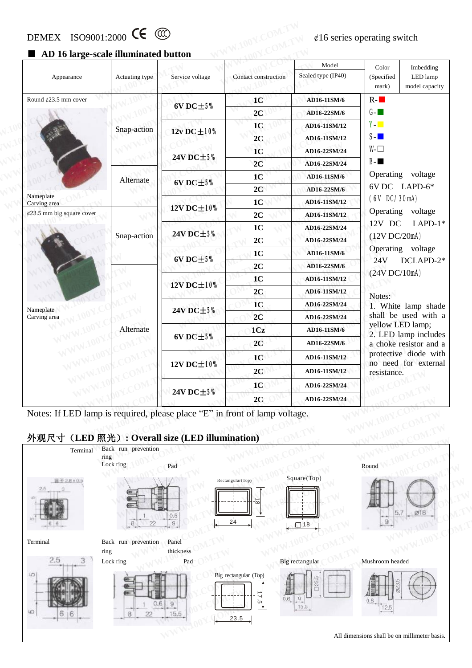# DEMEX ISO9001:2000 CE  $\circled{C}$   $\circled{C}$   $\circled{C}$   $\circled{C}$   $\circled{C}$   $\circled{C}$   $\circled{C}$   $\circled{C}$   $\circled{C}$   $\circled{C}$   $\circled{C}$   $\circled{C}$   $\circled{C}$   $\circled{C}$   $\circled{C}$   $\circled{C}$   $\circled{C}$   $\circled{C}$   $\circled{C}$   $\circled{C}$   $\circled{C}$   $\circled{C}$

#### ■ **AD** 16 large-scale illuminated button

| Appearance                                                                                                                               | Actuating type              | Service voltage         | Contact construction | Model<br>Sealed type (IP40) | Color<br>Imbedding<br>(Specified<br>LED lamp<br>model capacity<br>mark) |
|------------------------------------------------------------------------------------------------------------------------------------------|-----------------------------|-------------------------|----------------------|-----------------------------|-------------------------------------------------------------------------|
| Round $\ell$ 23.5 mm cover                                                                                                               |                             | $6V$ DC $\pm$ 5%        | 1 <sub>C</sub>       | AD16-11SM/6                 | $R -$                                                                   |
|                                                                                                                                          |                             |                         | 2C                   | AD16-22SM/6                 | $G -$                                                                   |
|                                                                                                                                          | Snap-action                 | $12v$ DC $\pm$ 10%      | 1 <sub>C</sub>       | AD16-11SM/12                | $Y -$                                                                   |
|                                                                                                                                          |                             |                         | 2C                   | AD16-11SM/12                | $S-I$                                                                   |
|                                                                                                                                          |                             |                         | 1 <sup>C</sup>       | AD16-22SM/24                | $W \Box$                                                                |
|                                                                                                                                          |                             | 24V DC±5%               | 2C                   | AD16-22SM/24                | $B - m$                                                                 |
|                                                                                                                                          | Alternate                   |                         | 1 <sub>C</sub>       | AD16-11SM/6                 | Operating<br>voltage                                                    |
|                                                                                                                                          |                             | $6VDC \pm 5%$           | 2C                   | AD16-22SM/6                 | 6V DC LAPD-6*                                                           |
| Nameplate<br>Carving area                                                                                                                |                             | 12V DC±10%              | 1 <sub>C</sub>       | AD16-11SM/12                | (6V DC/30mA)                                                            |
| $\text{\#}23.5$ mm big square cover                                                                                                      |                             |                         | 2C                   | AD16-11SM/12                | Operating voltage                                                       |
|                                                                                                                                          |                             |                         | 1 <sub>C</sub>       | AD16-22SM/24                | $LAPD-1*$<br>12V DC                                                     |
|                                                                                                                                          | Snap-action                 | 24V DC±5%               | 2C                   | AD16-22SM/24                | (12V)DC/20mA)                                                           |
|                                                                                                                                          |                             |                         | 1 <sub>C</sub>       | AD16-11SM/6                 | Operating voltage                                                       |
|                                                                                                                                          |                             | $6V$ DC $\pm$ 5%        | 2C                   | AD16-22SM/6                 | DCLAPD-2*<br>24V                                                        |
|                                                                                                                                          |                             | 12V DC±10%<br>24V DC±5% | 1 <sub>C</sub>       | AD16-11SM/12                | (24V)DC/10mA)                                                           |
|                                                                                                                                          |                             |                         | 2C                   | AD16-11SM/12                | Notes:                                                                  |
| Nameplate                                                                                                                                |                             |                         | 1 <sub>C</sub>       | AD16-22SM/24                | 1. White lamp shade                                                     |
| Carving area                                                                                                                             |                             |                         | 2C                   | AD16-22SM/24                | shall be used with a                                                    |
|                                                                                                                                          | Alternate                   |                         | 1Cz                  | AD16-11SM/6                 | yellow LED lamp;<br>2. LED lamp includes                                |
|                                                                                                                                          |                             | $6V$ DC $\pm$ 5%        | 2C                   | AD16-22SM/6                 | a choke resistor and a                                                  |
|                                                                                                                                          |                             |                         | 1 <sub>C</sub>       | AD16-11SM/12                | protective diode with                                                   |
|                                                                                                                                          |                             | 12V DC±10%              | 2C                   | AD16-11SM/12                | no need for external<br>resistance.                                     |
|                                                                                                                                          |                             |                         | 1 <sub>C</sub>       | AD16-22SM/24                |                                                                         |
|                                                                                                                                          |                             | 24V DC±5%               | 2C                   | AD16-22SM/24                |                                                                         |
| Notes: If LED lamp is required, please place "E" in front of lamp voltage.<br>外观尺寸 (LED 照光): Overall size (LED illumination)<br>Terminal | Back run prevention<br>ring |                         |                      |                             |                                                                         |

#### **外观尺寸(LED 照光): Overall size (LED illumination)**

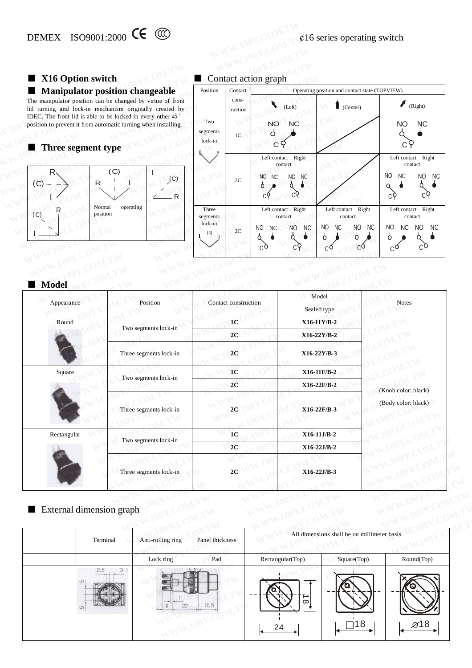## ■ **X16 Option** switch

#### ■ **Manipulator position changeable**



■ Contact action graph

| DEMEX ISO9001:2000 CE CO<br>X16 Option switch                                                                                                       |                              |                      | Contact action graph                                        |                                        | $\ell$ 16 series operating switch                                                    |                 |                                                        |                                      |
|-----------------------------------------------------------------------------------------------------------------------------------------------------|------------------------------|----------------------|-------------------------------------------------------------|----------------------------------------|--------------------------------------------------------------------------------------|-----------------|--------------------------------------------------------|--------------------------------------|
| <b>Manipulator position changeable</b><br>The manipulator position can be changed by virtue of front                                                | Position                     | Contact<br>cons-     |                                                             |                                        | Operating position and contact state (TOPVIEW)                                       |                 |                                                        |                                      |
| lid turning and lock-in mechanism originally created by                                                                                             |                              | truction             | $\blacktriangledown$<br>(Left)                              |                                        | (Center)                                                                             |                 |                                                        | (Right)                              |
| IDEC. The front lid is able to be locked in every other 45°<br>position to prevent it from automatic turning when installing.<br>Three segment type | Two<br>segments<br>lock-in   | 1 <sup>C</sup>       | <b>NO</b><br>Ò                                              | <b>NC</b>                              |                                                                                      |                 | <b>NO</b>                                              | <b>NC</b>                            |
| (C)<br>$\mathsf{R}$<br>(C)<br>$\mathsf{R}$<br>C<br>R                                                                                                |                              | 2C                   | Left contact<br>contact<br><b>NO</b><br><b>NC</b><br>Ô      | Right<br>NO<br><b>NC</b>               |                                                                                      |                 | Left contact<br>contact<br>N <sub>O</sub><br><b>NC</b> | Right<br>N <sub>O</sub><br><b>NC</b> |
| operating<br>Normal<br>position<br>(C)                                                                                                              | Three<br>segments<br>lock-in | 2C                   | Left contact Right<br>contact<br>NO<br><b>NC</b><br>Ω<br>c٩ | N <sub>C</sub><br>N <sub>O</sub><br>cδ | Left contact Right<br>contact<br><b>NO</b><br>NO<br><b>NC</b><br>$\sigma$<br>Ő<br>cΫ | <b>NC</b><br>cΫ | Left contact<br>contact<br><b>NC</b><br>NO<br>Ô.       | Right<br>NO<br><b>NC</b>             |
| <b>Model</b>                                                                                                                                        |                              |                      |                                                             |                                        |                                                                                      |                 |                                                        |                                      |
| Position<br>Appearance                                                                                                                              |                              | Contact construction |                                                             |                                        | Model<br>Sealed type                                                                 |                 | <b>Notes</b>                                           |                                      |

#### ■ **Model**

| <b>Model</b> |                        |                      |                      |                     |
|--------------|------------------------|----------------------|----------------------|---------------------|
| Appearance   | Position               | Contact construction | Model<br>Sealed type | <b>Notes</b>        |
| Round        |                        | 1 <sub>C</sub>       | $X16-11Y/B-2$        |                     |
|              | Two segments lock-in   | 2C                   | X16-22Y/B-2          |                     |
|              | Three segments lock-in | 2C                   | X16-22Y/B-3          |                     |
| Square       |                        | 1 <sub>C</sub>       | X16-11F/B-2          |                     |
|              | Two segments lock-in   | 2C                   | X16-22F/B-2          | (Knob color: black) |
|              | Three segments lock-in | 2C                   | X16-22F/B-3          | (Body color: black) |
| Rectangular  |                        | 1 <sub>C</sub>       | $X16-11J/B-2$        |                     |
|              | Two segments lock-in   | 2C                   | $X16-22J/B-2$        |                     |
|              | Three segments lock-in | 2C                   | $X16-22J/B-3$        |                     |

## External dimension graph

|                          | Three segments lock-in | 2C              | X16-22J/B-3         |                                              |                  |
|--------------------------|------------------------|-----------------|---------------------|----------------------------------------------|------------------|
| External dimension graph |                        |                 |                     |                                              |                  |
| Terminal                 | Anti-rolling ring      | Panel thickness |                     | All dimensions shall be on millimeter basis. |                  |
|                          | Lock ring              | Pad             | Rectangular(Top)    | Square(Top)                                  | Round(Top)       |
| 2.5<br>m                 |                        | 15.5            | ∸<br>$\infty$<br>24 |                                              | $\varnothing$ 18 |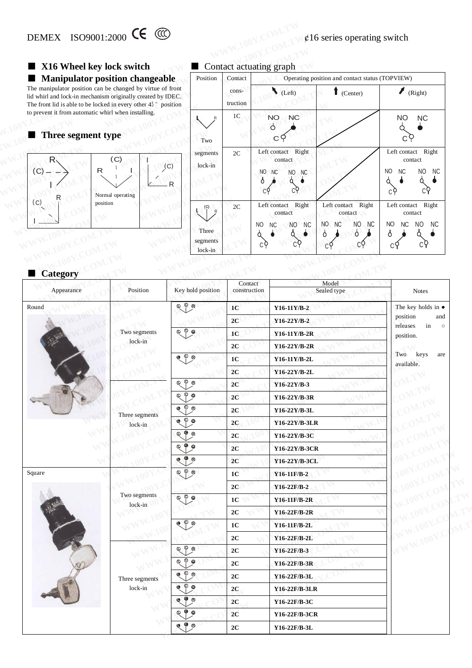## ■ **X16 Wheel key lock switch**



#### ■ Contact actuating graph

| DEMEX ISO9001:2000 CE CO<br>X16 Wheel key lock switch                                                                                                                                                |                              |                         | Contact actuating graph                                                     |                                                 |                                                                  |
|------------------------------------------------------------------------------------------------------------------------------------------------------------------------------------------------------|------------------------------|-------------------------|-----------------------------------------------------------------------------|-------------------------------------------------|------------------------------------------------------------------|
| <b>Manipulator position changeable</b>                                                                                                                                                               | Position                     | Contact                 |                                                                             | Operating position and contact status (TOPVIEW) |                                                                  |
| The manipulator position can be changed by virtue of front<br>lid whirl and lock-in mechanism originally created by IDEC.<br>The front lid is able to be locked in every other $45^{\circ}$ position |                              | cons-<br>truction       | $\bigcup$ (Left)                                                            | $\blacksquare$ (Center)                         | (Right)                                                          |
| to prevent it from automatic whirl when installing.<br>Three segment type                                                                                                                            | Two                          | $1\mathrm{C}$           | NO.<br><b>NC</b><br>P<br>C 9                                                |                                                 | <b>NO</b><br><b>NC</b>                                           |
| (C)<br>R.<br>(C)<br>R<br>$\left( $<br>R<br>Normal operating                                                                                                                                          | segments<br>lock-in          | 2C                      | Right<br>Left contact<br>contact<br>NO<br><b>NC</b><br>NO<br><b>NC</b><br>Ô |                                                 | Left contact<br>Right<br>contact<br>NO<br><b>NC</b><br>NO<br>NC. |
| (C)<br>position                                                                                                                                                                                      |                              | 2C                      | Right<br>Left contact<br>contact                                            | Right<br>Left contact<br>contact                | Left contact Right<br>contact                                    |
|                                                                                                                                                                                                      | Three<br>segments<br>lock-in |                         | <b>NC</b><br><b>NC</b><br>N <sub>O</sub><br>N <sub>O</sub><br>c۶<br>c٩      | NO<br>NO.<br>NC<br><b>NC</b><br>Ò<br>Ô.<br>cΫ   | NO.<br>N <sub>C</sub><br>NO.<br>NC.<br>O.                        |
| <b>Category</b>                                                                                                                                                                                      |                              |                         |                                                                             |                                                 |                                                                  |
| Position<br>Appearance                                                                                                                                                                               | Key hold position            | Contact<br>construction |                                                                             | Model<br>Sealed type                            | <b>Notes</b>                                                     |

| Category   |                         |                                                                                                                                                                                  |                                                                             |                      | cЧ<br>cΫ                                                  |  |
|------------|-------------------------|----------------------------------------------------------------------------------------------------------------------------------------------------------------------------------|-----------------------------------------------------------------------------|----------------------|-----------------------------------------------------------|--|
| Appearance | Position                | Key hold position                                                                                                                                                                | Contact<br>construction                                                     | Model<br>Sealed type | <b>Notes</b>                                              |  |
| Round      |                         | $\circledcirc$ $\circledcirc$                                                                                                                                                    | 1 <sub>C</sub>                                                              | $Y16-11Y/B-2$        | The key holds in $\bullet$                                |  |
|            |                         |                                                                                                                                                                                  | 2C<br>$Y16-22Y/B-2$<br>1 <sup>C</sup><br>Y16-11Y/B-2R<br>2C<br>Y16-22Y/B-2R |                      | position<br>and<br>releases<br>in<br>$\circ$<br>position. |  |
|            | Two segments            | $\mathbb{Q}$ $\circ$ $\mathbb{Q}$                                                                                                                                                |                                                                             |                      |                                                           |  |
|            | lock-in                 |                                                                                                                                                                                  |                                                                             |                      |                                                           |  |
|            |                         | $Q^{\circ}$                                                                                                                                                                      | 1 <sub>C</sub>                                                              | Y16-11Y/B-2L         | Two<br>keys<br>are<br>available.                          |  |
|            |                         |                                                                                                                                                                                  | 2C                                                                          | Y16-22Y/B-2L         |                                                           |  |
|            |                         | $\overline{\mathbb{Q}}\overset{\mathbb{Q}}{\underset{\smile}{\mathbb{Q}}}\overset{\mathbb{Q}}{\underset{\smile}{\mathbb{Q}}}\overset{\mathbb{Q}}{\underset{\smile}{\mathbb{Q}}}$ | 2C                                                                          | $Y16-22Y/B-3$        |                                                           |  |
|            |                         | $^{\circ}$ 0<br>$^\copyright$                                                                                                                                                    | 2C                                                                          | Y16-22Y/B-3R         |                                                           |  |
|            | Three segments          | $\bullet$ $\circ$ $\circ$                                                                                                                                                        | 2C                                                                          | Y16-22Y/B-3L         |                                                           |  |
|            | lock-in                 | $\bullet$ $\circ$ $\bullet$                                                                                                                                                      | 2C                                                                          | Y16-22Y/B-3LR        |                                                           |  |
|            |                         | $O \nvert O$                                                                                                                                                                     | 2C                                                                          | Y16-22Y/B-3C         |                                                           |  |
|            |                         | $O \nvert O$                                                                                                                                                                     | 2C                                                                          | Y16-22Y/B-3CR        |                                                           |  |
|            |                         | $\bullet$ $\bullet$                                                                                                                                                              | 2C                                                                          | Y16-22Y/B-3CL        |                                                           |  |
| Square     |                         | $Q^{\circ}$ $Q$                                                                                                                                                                  | 1 <sub>C</sub>                                                              | Y16-11F/B-2          |                                                           |  |
|            |                         |                                                                                                                                                                                  | 2C                                                                          | Y16-22F/B-2          |                                                           |  |
|            | Two segments<br>lock-in | $Q^{\circ}$ $Q$                                                                                                                                                                  | $1C$                                                                        | Y16-11F/B-2R         |                                                           |  |
|            |                         |                                                                                                                                                                                  | 2C                                                                          | Y16-22F/B-2R         |                                                           |  |
|            |                         | $\bullet$ $\circ$ $\circ$                                                                                                                                                        | 1 <sub>C</sub>                                                              | Y16-11F/B-2L         |                                                           |  |
|            |                         |                                                                                                                                                                                  | ${\bf 2C}$                                                                  | Y16-22F/B-2L         |                                                           |  |
|            |                         | $Q \nvert Q$<br>◡                                                                                                                                                                | ${\bf 2C}$                                                                  | $Y16-22F/B-3$        |                                                           |  |
|            |                         | $\circ$ $\circ$ $\circ$                                                                                                                                                          | 2C                                                                          | Y16-22F/B-3R         |                                                           |  |
|            | Three segments          | $\bullet$ $\circ$ $\circ$                                                                                                                                                        | $2\mathrm{C}$                                                               | Y16-22F/B-3L         |                                                           |  |
|            | lock-in                 | $Q^{\odot}$                                                                                                                                                                      | 2C                                                                          | Y16-22F/B-3LR        |                                                           |  |
|            |                         | 000                                                                                                                                                                              | 2C                                                                          | Y16-22F/B-3C         |                                                           |  |
|            |                         | $\overline{\mathbb{Q}}$ $\overline{\mathbb{Q}}$ $\overline{\mathbb{Q}}$                                                                                                          | 2C                                                                          | Y16-22F/B-3CR        |                                                           |  |
|            |                         | $\bullet$ $\bullet$                                                                                                                                                              | 2C                                                                          | Y16-22F/B-3L         |                                                           |  |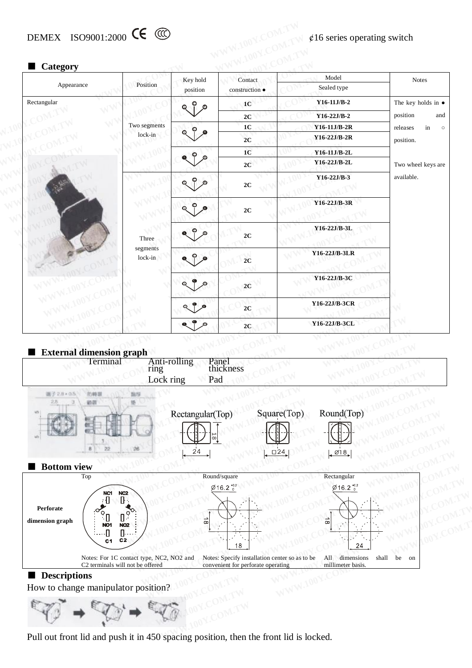# DEMEX ISO9001:2000 **CE**  $\bigotimes$   $\phi$ 16 series operating switch

| Category                             |                                   | Key hold            | Contact            | Model          | <b>Notes</b>               |    |              |  |
|--------------------------------------|-----------------------------------|---------------------|--------------------|----------------|----------------------------|----|--------------|--|
| Appearance                           | Position                          | position            | construction •     | Sealed type    |                            |    |              |  |
| Rectangular                          |                                   | ◉                   | 1 <sub>C</sub>     | $Y16-11J/B-2$  | The key holds in $\bullet$ |    |              |  |
|                                      |                                   |                     | 2C                 | $Y16-22J/B-2$  | position                   |    |              |  |
|                                      | Two segments                      | 1 <sub>C</sub>      | $Y16-11J/B-2R$     | in<br>releases |                            |    |              |  |
|                                      | lock-in                           |                     | 2C                 | Y16-22J/B-2R   | position.                  |    |              |  |
|                                      |                                   |                     | 1 <sub>C</sub>     | Y16-11J/B-2L   |                            |    |              |  |
|                                      |                                   |                     | 2C                 | Y16-22J/B-2L   | Two wheel keys are         |    |              |  |
|                                      |                                   |                     | $2\mathrm{C}$      | Y16-22J/B-3    | available.                 |    |              |  |
|                                      |                                   |                     | 2C                 | Y16-22J/B-3R   |                            |    |              |  |
|                                      | Three                             |                     |                    |                |                            | 2C | Y16-22J/B-3L |  |
|                                      | segments<br>lock-in               |                     | 2C                 | Y16-22J/B-3LR  |                            |    |              |  |
|                                      |                                   |                     | 2C                 | Y16-22J/B-3C   |                            |    |              |  |
|                                      |                                   |                     | 2C                 | Y16-22J/B-3CR  |                            |    |              |  |
|                                      |                                   | $\circledcirc$<br>Q | 2C                 | Y16-22J/B-3CL  |                            |    |              |  |
| External dimension graph<br>Terminal | Anti-rolling<br>ring<br>Lock ring |                     | Panel<br>thickness |                |                            |    |              |  |



Pull out front lid and push it in 450 spacing position, then the front lid is locked.